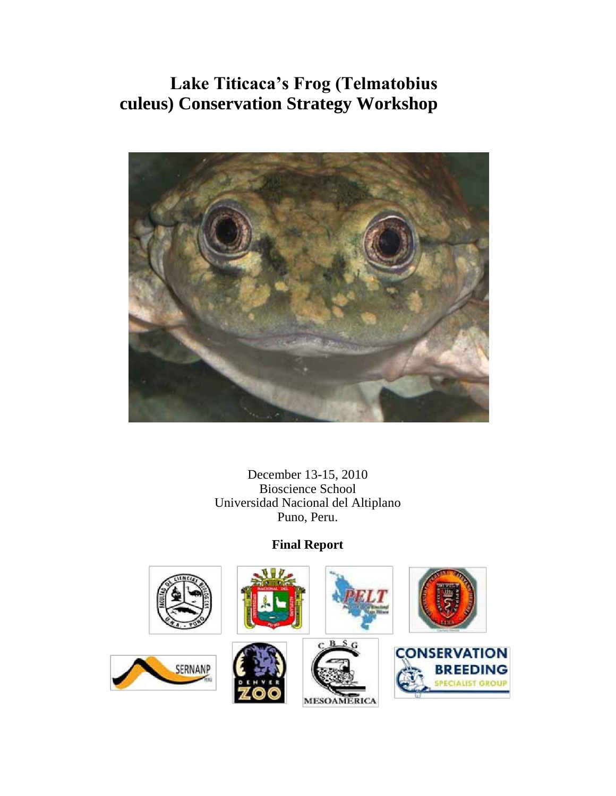

December 13-15, 2010 Bioscience School Universidad Nacional del Altiplano Puno, Peru.

### **Final Report**

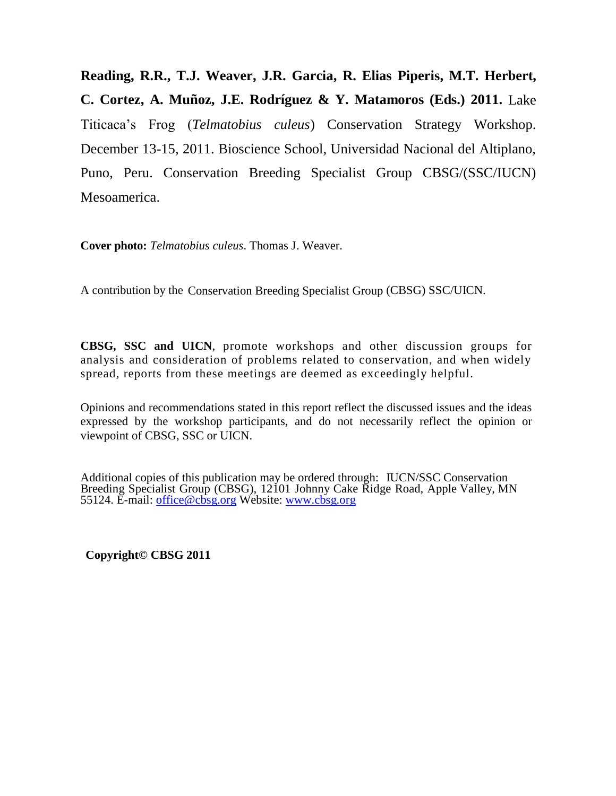**Reading, R.R., T.J. Weaver, J.R. Garcia, R. Elias Piperis, M.T. Herbert, C. Cortez, A. Muñoz, J.E. Rodríguez & Y. Matamoros (Eds.) 2011.** Lake Titicaca's Frog (*Telmatobius culeus*) Conservation Strategy Workshop. December 13-15, 2011. Bioscience School, Universidad Nacional del Altiplano, Puno, Peru. Conservation Breeding Specialist Group CBSG/(SSC/IUCN) Mesoamerica.

**Cover photo:** *Telmatobius culeus*. Thomas J. Weaver.

A contribution by the Conservation Breeding Specialist Group (CBSG) SSC/UICN.

**CBSG, SSC and UICN**, promote workshops and other discussion groups for analysis and consideration of problems related to conservation, and when widely spread, reports from these meetings are deemed as exceedingly helpful.

Opinions and recommendations stated in this report reflect the discussed issues and the ideas expressed by the workshop participants, and do not necessarily reflect the opinion or viewpoint of CBSG, SSC or UICN.

Additional copies of this publication may be ordered through: IUCN/SSC Conservation Breeding Specialist Group (CBSG), 12101 Johnny Cake Ridge Road, Apple Valley, MN 55124. E-mail: [office@cbsg.org](mailto:office@cbsg.org) Website: [www.cbsg.org](http://www.cbsg.org/)

**Copyright© CBSG 2011**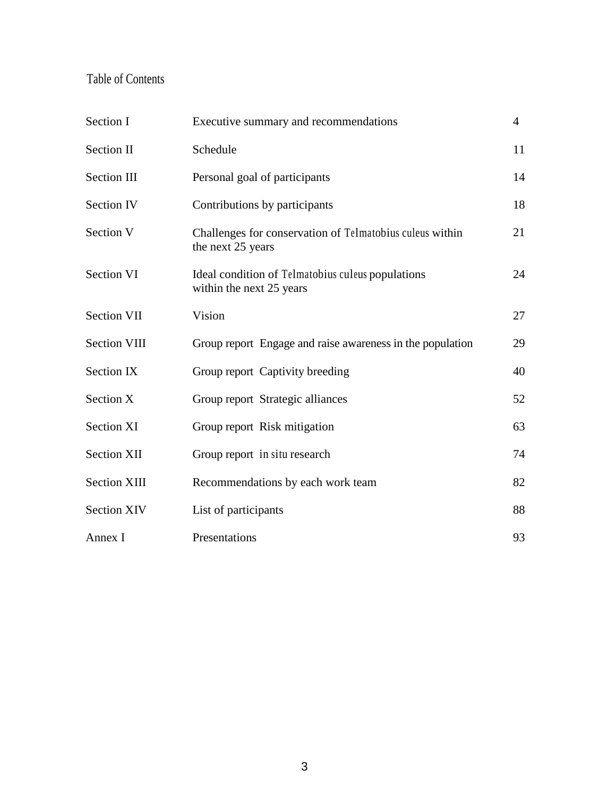### Table of Contents

| Section I           | Executive summary and recommendations                                         | $\overline{4}$ |
|---------------------|-------------------------------------------------------------------------------|----------------|
| Section II          | Schedule                                                                      | 11             |
| <b>Section III</b>  | Personal goal of participants                                                 | 14             |
| <b>Section IV</b>   | Contributions by participants                                                 | 18             |
| Section V           | Challenges for conservation of Telmatobius culeus within<br>the next 25 years | 21             |
| <b>Section VI</b>   | Ideal condition of Telmatobius culeus populations<br>within the next 25 years | 24             |
| Section VII         | Vision                                                                        | 27             |
| <b>Section VIII</b> | Group report Engage and raise awareness in the population                     | 29             |
| Section IX          | Group report Captivity breeding                                               | 40             |
| Section X           | Group report Strategic alliances                                              | 52             |
| Section XI          | Group report Risk mitigation                                                  | 63             |
| <b>Section XII</b>  | Group report in situ research                                                 | 74             |
| <b>Section XIII</b> | Recommendations by each work team                                             | 82             |
| <b>Section XIV</b>  | List of participants                                                          | 88             |
| Annex I             | Presentations                                                                 | 93             |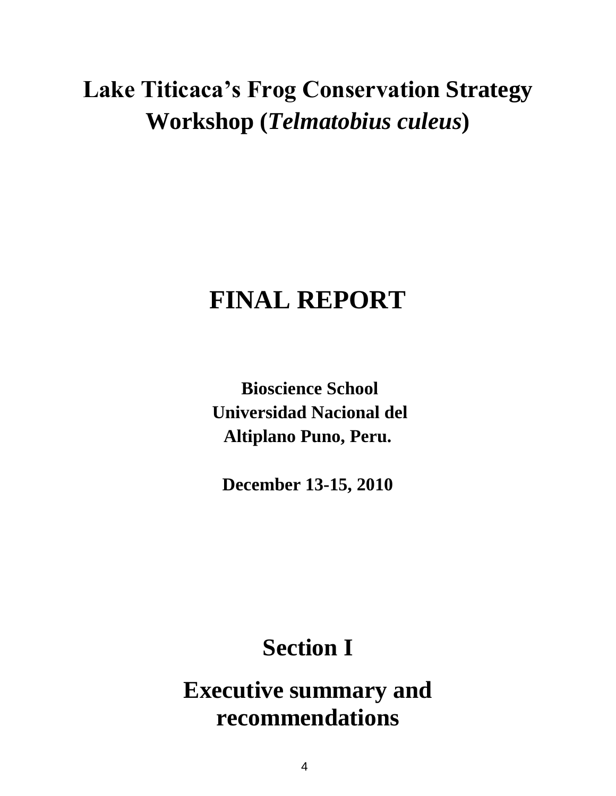# **Lake Titicaca's Frog Conservation Strategy Workshop (***Telmatobius culeus***)**

# **FINAL REPORT**

**Bioscience School Universidad Nacional del Altiplano Puno, Peru.**

**December 13-15, 2010**

# **Section I**

**Executive summary and recommendations**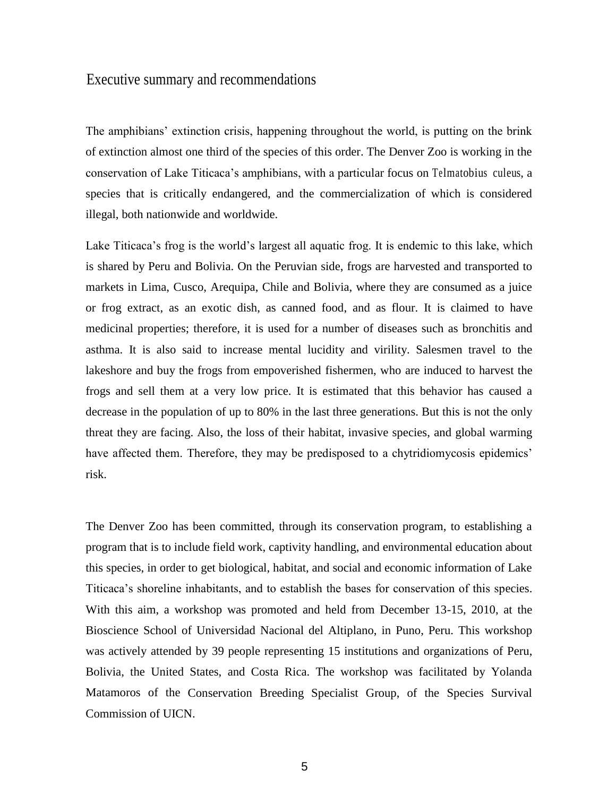### Executive summary and recommendations

The amphibians' extinction crisis, happening throughout the world, is putting on the brink of extinction almost one third of the species of this order. The Denver Zoo is working in the conservation of Lake Titicaca's amphibians, with a particular focus on Telmatobius culeus, a species that is critically endangered, and the commercialization of which is considered illegal, both nationwide and worldwide.

Lake Titicaca's frog is the world's largest all aquatic frog. It is endemic to this lake, which is shared by Peru and Bolivia. On the Peruvian side, frogs are harvested and transported to markets in Lima, Cusco, Arequipa, Chile and Bolivia, where they are consumed as a juice or frog extract, as an exotic dish, as canned food, and as flour. It is claimed to have medicinal properties; therefore, it is used for a number of diseases such as bronchitis and asthma. It is also said to increase mental lucidity and virility. Salesmen travel to the lakeshore and buy the frogs from empoverished fishermen, who are induced to harvest the frogs and sell them at a very low price. It is estimated that this behavior has caused a decrease in the population of up to 80% in the last three generations. But this is not the only threat they are facing. Also, the loss of their habitat, invasive species, and global warming have affected them. Therefore, they may be predisposed to a chytridiomycosis epidemics' risk.

The Denver Zoo has been committed, through its conservation program, to establishing a program that is to include field work, captivity handling, and environmental education about this species, in order to get biological, habitat, and social and economic information of Lake Titicaca's shoreline inhabitants, and to establish the bases for conservation of this species. With this aim, a workshop was promoted and held from December 13-15, 2010, at the Bioscience School of Universidad Nacional del Altiplano, in Puno, Peru. This workshop was actively attended by 39 people representing 15 institutions and organizations of Peru, Bolivia, the United States, and Costa Rica. The workshop was facilitated by Yolanda Matamoros of the Conservation Breeding Specialist Group, of the Species Survival Commission of UICN.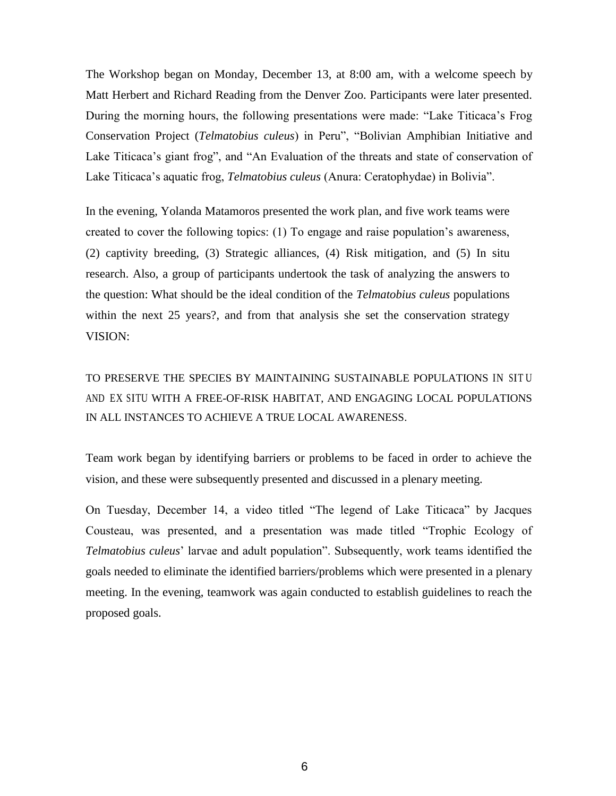The Workshop began on Monday, December 13, at 8:00 am, with a welcome speech by Matt Herbert and Richard Reading from the Denver Zoo. Participants were later presented. During the morning hours, the following presentations were made: "Lake Titicaca's Frog Conservation Project (*Telmatobius culeus*) in Peru", "Bolivian Amphibian Initiative and Lake Titicaca's giant frog", and "An Evaluation of the threats and state of conservation of Lake Titicaca's aquatic frog, *Telmatobius culeus* (Anura: Ceratophydae) in Bolivia".

In the evening, Yolanda Matamoros presented the work plan, and five work teams were created to cover the following topics: (1) To engage and raise population's awareness, (2) captivity breeding, (3) Strategic alliances, (4) Risk mitigation, and (5) In situ research. Also, a group of participants undertook the task of analyzing the answers to the question: What should be the ideal condition of the *Telmatobius culeus* populations within the next 25 years?, and from that analysis she set the conservation strategy VISION:

TO PRESERVE THE SPECIES BY MAINTAINING SUSTAINABLE POPULATIONS IN SIT U AND EX SITU WITH A FREE-OF-RISK HABITAT, AND ENGAGING LOCAL POPULATIONS IN ALL INSTANCES TO ACHIEVE A TRUE LOCAL AWARENESS.

Team work began by identifying barriers or problems to be faced in order to achieve the vision, and these were subsequently presented and discussed in a plenary meeting.

On Tuesday, December 14, a video titled "The legend of Lake Titicaca" by Jacques Cousteau, was presented, and a presentation was made titled "Trophic Ecology of *Telmatobius culeus*' larvae and adult population". Subsequently, work teams identified the goals needed to eliminate the identified barriers/problems which were presented in a plenary meeting. In the evening, teamwork was again conducted to establish guidelines to reach the proposed goals.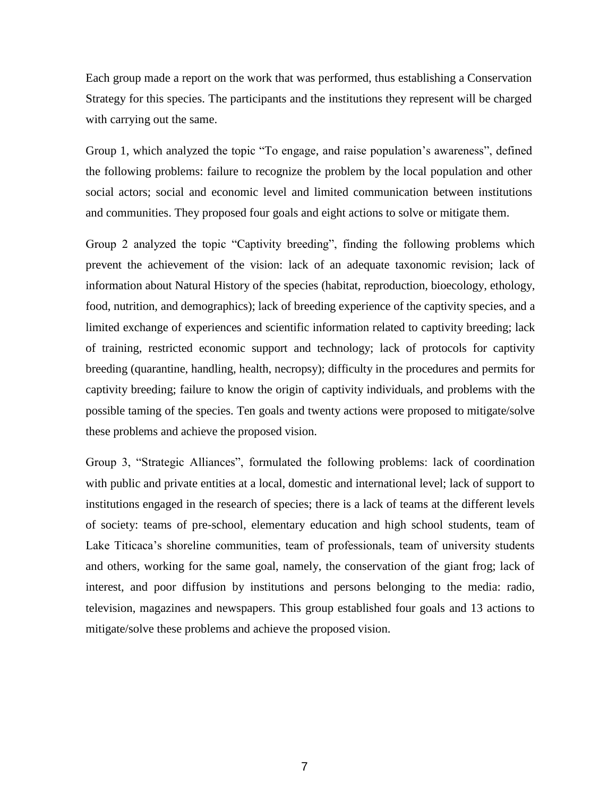Each group made a report on the work that was performed, thus establishing a Conservation Strategy for this species. The participants and the institutions they represent will be charged with carrying out the same.

Group 1, which analyzed the topic "To engage, and raise population's awareness", defined the following problems: failure to recognize the problem by the local population and other social actors; social and economic level and limited communication between institutions and communities. They proposed four goals and eight actions to solve or mitigate them.

Group 2 analyzed the topic "Captivity breeding", finding the following problems which prevent the achievement of the vision: lack of an adequate taxonomic revision; lack of information about Natural History of the species (habitat, reproduction, bioecology, ethology, food, nutrition, and demographics); lack of breeding experience of the captivity species, and a limited exchange of experiences and scientific information related to captivity breeding; lack of training, restricted economic support and technology; lack of protocols for captivity breeding (quarantine, handling, health, necropsy); difficulty in the procedures and permits for captivity breeding; failure to know the origin of captivity individuals, and problems with the possible taming of the species. Ten goals and twenty actions were proposed to mitigate/solve these problems and achieve the proposed vision.

Group 3, "Strategic Alliances", formulated the following problems: lack of coordination with public and private entities at a local, domestic and international level; lack of support to institutions engaged in the research of species; there is a lack of teams at the different levels of society: teams of pre-school, elementary education and high school students, team of Lake Titicaca's shoreline communities, team of professionals, team of university students and others, working for the same goal, namely, the conservation of the giant frog; lack of interest, and poor diffusion by institutions and persons belonging to the media: radio, television, magazines and newspapers. This group established four goals and 13 actions to mitigate/solve these problems and achieve the proposed vision.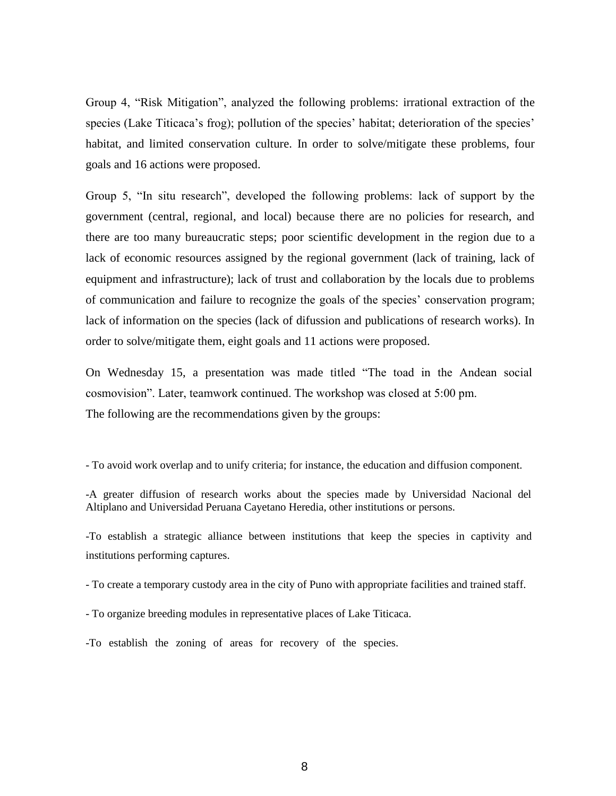Group 4, "Risk Mitigation", analyzed the following problems: irrational extraction of the species (Lake Titicaca's frog); pollution of the species' habitat; deterioration of the species' habitat, and limited conservation culture. In order to solve/mitigate these problems, four goals and 16 actions were proposed.

Group 5, "In situ research", developed the following problems: lack of support by the government (central, regional, and local) because there are no policies for research, and there are too many bureaucratic steps; poor scientific development in the region due to a lack of economic resources assigned by the regional government (lack of training, lack of equipment and infrastructure); lack of trust and collaboration by the locals due to problems of communication and failure to recognize the goals of the species' conservation program; lack of information on the species (lack of difussion and publications of research works). In order to solve/mitigate them, eight goals and 11 actions were proposed.

On Wednesday 15, a presentation was made titled "The toad in the Andean social cosmovision". Later, teamwork continued. The workshop was closed at 5:00 pm. The following are the recommendations given by the groups:

- To avoid work overlap and to unify criteria; for instance, the education and diffusion component.

-To establish a strategic alliance between institutions that keep the species in captivity and institutions performing captures.

- To create a temporary custody area in the city of Puno with appropriate facilities and trained staff.

- To organize breeding modules in representative places of Lake Titicaca.

-To establish the zoning of areas for recovery of the species.

<sup>-</sup>A greater diffusion of research works about the species made by Universidad Nacional del Altiplano and Universidad Peruana Cayetano Heredia, other institutions or persons.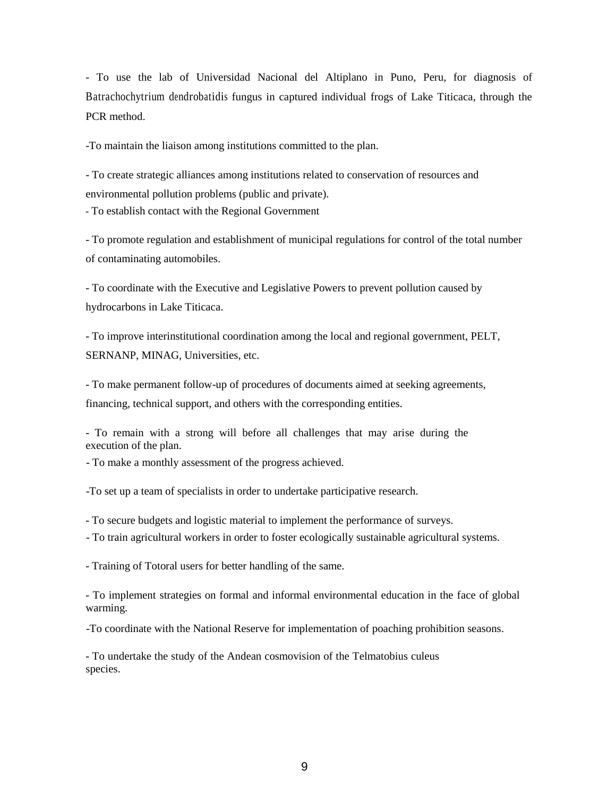- To use the lab of Universidad Nacional del Altiplano in Puno, Peru, for diagnosis of Batrachochytrium dendrobatidis fungus in captured individual frogs of Lake Titicaca, through the PCR method.

-To maintain the liaison among institutions committed to the plan.

- To create strategic alliances among institutions related to conservation of resources and environmental pollution problems (public and private).

- To establish contact with the Regional Government

- To promote regulation and establishment of municipal regulations for control of the total number of contaminating automobiles.

- To coordinate with the Executive and Legislative Powers to prevent pollution caused by hydrocarbons in Lake Titicaca.

- To improve interinstitutional coordination among the local and regional government, PELT, SERNANP, MINAG, Universities, etc.

- To make permanent follow-up of procedures of documents aimed at seeking agreements, financing, technical support, and others with the corresponding entities.

- To remain with a strong will before all challenges that may arise during the execution of the plan.

- To make a monthly assessment of the progress achieved.

-To set up a team of specialists in order to undertake participative research.

- To secure budgets and logistic material to implement the performance of surveys.

- To train agricultural workers in order to foster ecologically sustainable agricultural systems.

- Training of Totoral users for better handling of the same.

- To implement strategies on formal and informal environmental education in the face of global warming.

-To coordinate with the National Reserve for implementation of poaching prohibition seasons.

- To undertake the study of the Andean cosmovision of the Telmatobius culeus species.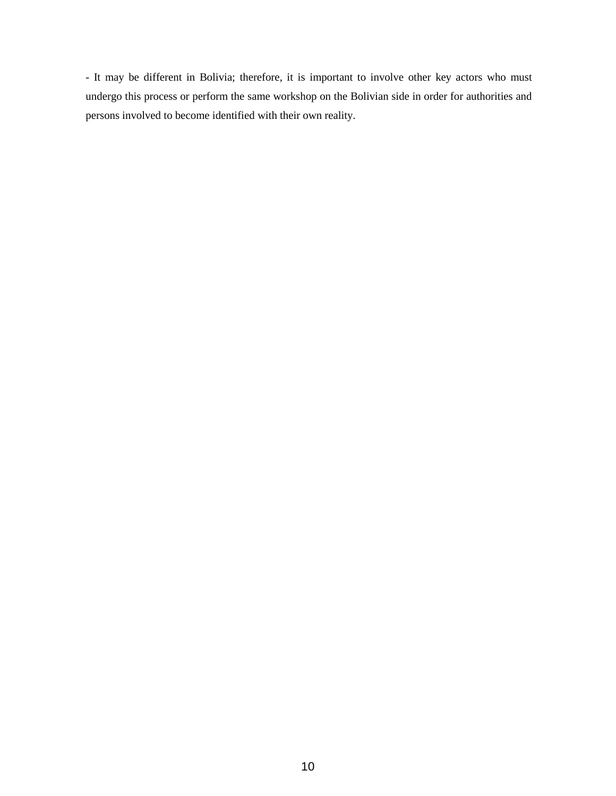- It may be different in Bolivia; therefore, it is important to involve other key actors who must undergo this process or perform the same workshop on the Bolivian side in order for authorities and persons involved to become identified with their own reality.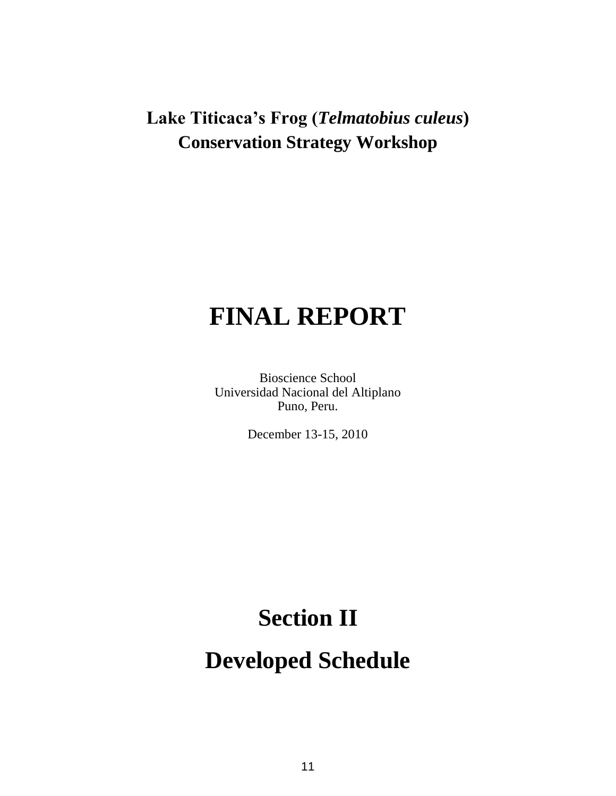# **FINAL REPORT**

Bioscience School Universidad Nacional del Altiplano Puno, Peru.

December 13-15, 2010

### **Section II**

**Developed Schedule**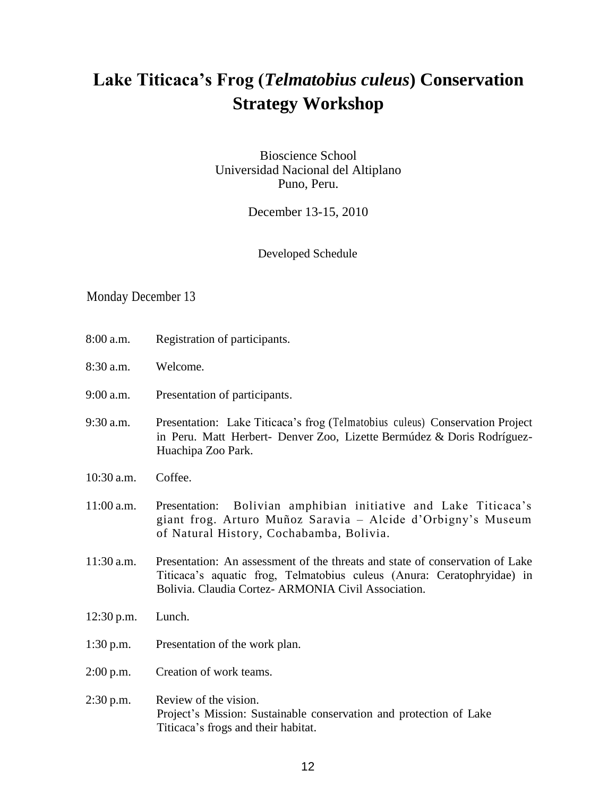Bioscience School Universidad Nacional del Altiplano Puno, Peru.

December 13-15, 2010

#### Developed Schedule

### Monday December 13

- 8:00 a.m. Registration of participants.
- 8:30 a.m. Welcome.
- 9:00 a.m. Presentation of participants.
- 9:30 a.m. Presentation: Lake Titicaca's frog (Telmatobius culeus) Conservation Project in Peru. Matt Herbert- Denver Zoo, Lizette Bermúdez & Doris Rodríguez-Huachipa Zoo Park.
- 10:30 a.m. Coffee.
- 11:00 a.m. Presentation: Bolivian amphibian initiative and Lake Titicaca's giant frog. Arturo Muñoz Saravia – Alcide d'Orbigny's Museum of Natural History, Cochabamba, Bolivia.
- 11:30 a.m. Presentation: An assessment of the threats and state of conservation of Lake Titicaca's aquatic frog, Telmatobius culeus (Anura: Ceratophryidae) in Bolivia. Claudia Cortez- ARMONIA Civil Association.
- 12:30 p.m. Lunch.
- 1:30 p.m. Presentation of the work plan.
- 2:00 p.m. Creation of work teams.
- 2:30 p.m. Review of the vision. Project's Mission: Sustainable conservation and protection of Lake Titicaca's frogs and their habitat.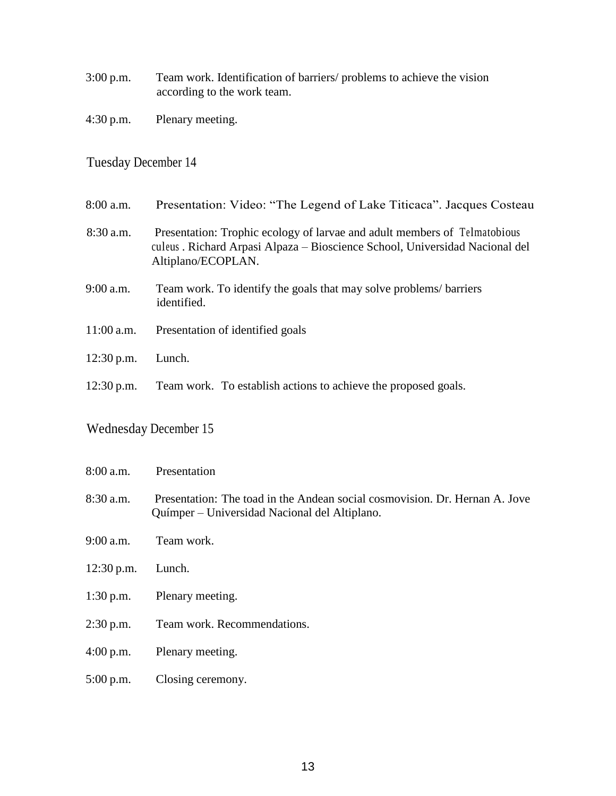- 3:00 p.m. Team work. Identification of barriers/ problems to achieve the vision according to the work team.
- 4:30 p.m. Plenary meeting.

### Tuesday December 14

| $8:00$ a.m.  | Presentation: Video: "The Legend of Lake Titicaca". Jacques Costeau                                                                                                             |
|--------------|---------------------------------------------------------------------------------------------------------------------------------------------------------------------------------|
| $8:30$ a.m.  | Presentation: Trophic ecology of larvae and adult members of Telmatobious<br>culeus . Richard Arpasi Alpaza – Bioscience School, Universidad Nacional del<br>Altiplano/ECOPLAN. |
| $9:00$ a.m.  | Team work. To identify the goals that may solve problems/barriers<br>identified.                                                                                                |
| $11:00$ a.m. | Presentation of identified goals                                                                                                                                                |
| $12:30$ p.m. | Lunch.                                                                                                                                                                          |
| $12:30$ p.m. | Team work. To establish actions to achieve the proposed goals.                                                                                                                  |

### Wednesday December 15

| $8:00$ a.m.  | Presentation                                                                                                                 |
|--------------|------------------------------------------------------------------------------------------------------------------------------|
| $8:30$ a.m.  | Presentation: The toad in the Andean social cosmovision. Dr. Hernan A. Jove<br>Químper – Universidad Nacional del Altiplano. |
| $9:00$ a.m.  | Team work.                                                                                                                   |
| $12:30$ p.m. | Lunch.                                                                                                                       |
| $1:30$ p.m.  | Plenary meeting.                                                                                                             |
| $2:30$ p.m.  | Team work. Recommendations.                                                                                                  |
| 4:00 p.m.    | Plenary meeting.                                                                                                             |
| $5:00$ p.m.  | Closing ceremony.                                                                                                            |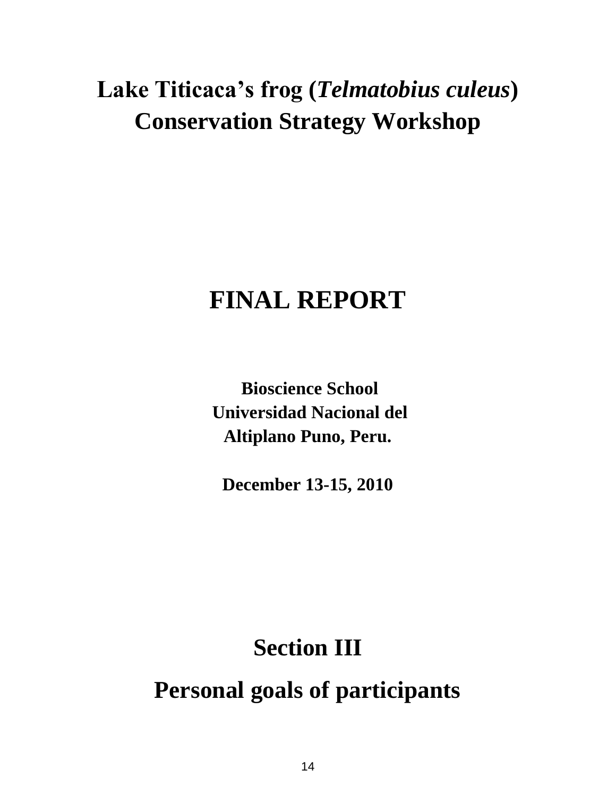# **FINAL REPORT**

**Bioscience School Universidad Nacional del Altiplano Puno, Peru.**

**December 13-15, 2010**

# **Section III Personal goals of participants**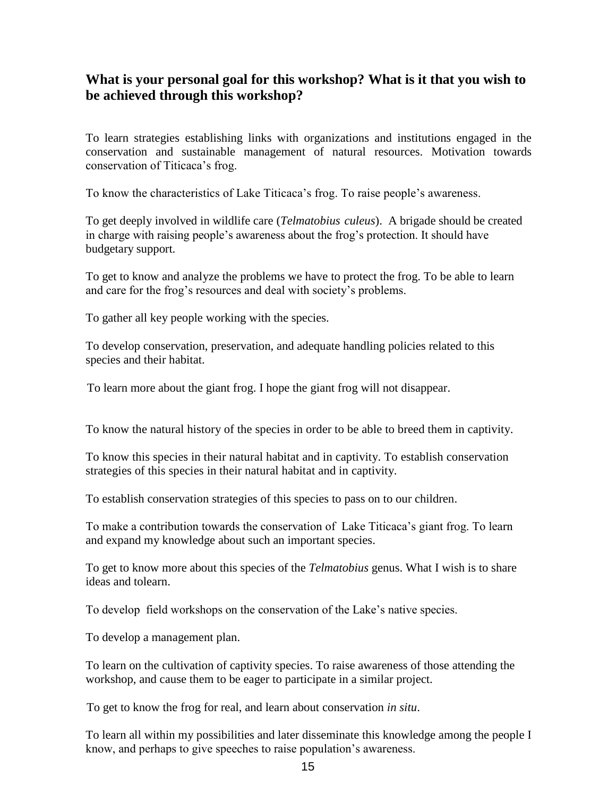### **What is your personal goal for this workshop? What is it that you wish to be achieved through this workshop?**

To learn strategies establishing links with organizations and institutions engaged in the conservation and sustainable management of natural resources. Motivation towards conservation of Titicaca's frog.

To know the characteristics of Lake Titicaca's frog. To raise people's awareness.

To get deeply involved in wildlife care (*Telmatobius culeus*). A brigade should be created in charge with raising people's awareness about the frog's protection. It should have budgetary support.

To get to know and analyze the problems we have to protect the frog. To be able to learn and care for the frog's resources and deal with society's problems.

To gather all key people working with the species.

To develop conservation, preservation, and adequate handling policies related to this species and their habitat.

To learn more about the giant frog. I hope the giant frog will not disappear.

To know the natural history of the species in order to be able to breed them in captivity.

To know this species in their natural habitat and in captivity. To establish conservation strategies of this species in their natural habitat and in captivity.

To establish conservation strategies of this species to pass on to our children.

To make a contribution towards the conservation of Lake Titicaca's giant frog. To learn and expand my knowledge about such an important species.

To get to know more about this species of the *Telmatobius* genus. What I wish is to share ideas and tolearn.

To develop field workshops on the conservation of the Lake's native species.

To develop a management plan.

To learn on the cultivation of captivity species. To raise awareness of those attending the workshop, and cause them to be eager to participate in a similar project.

To get to know the frog for real, and learn about conservation *in situ*.

To learn all within my possibilities and later disseminate this knowledge among the people I know, and perhaps to give speeches to raise population's awareness.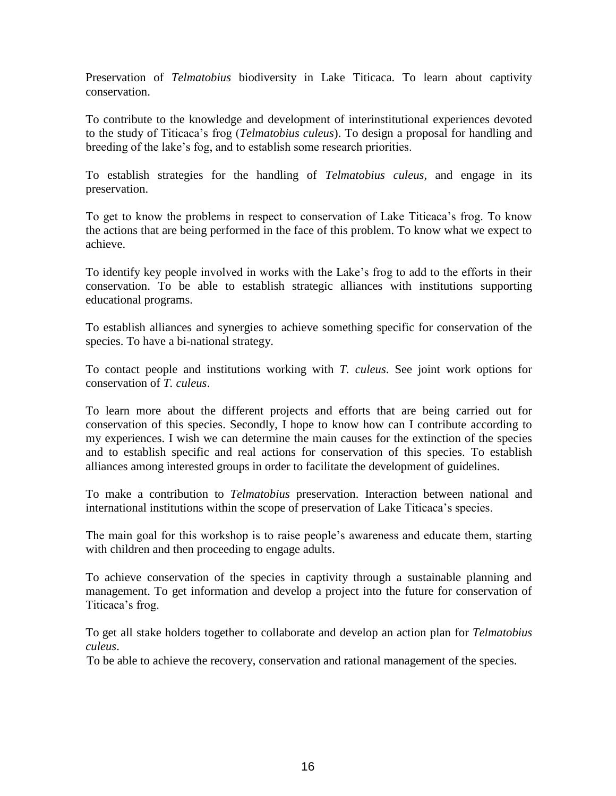Preservation of *Telmatobius* biodiversity in Lake Titicaca. To learn about captivity conservation.

To contribute to the knowledge and development of interinstitutional experiences devoted to the study of Titicaca's frog (*Telmatobius culeus*). To design a proposal for handling and breeding of the lake's fog, and to establish some research priorities.

To establish strategies for the handling of *Telmatobius culeus,* and engage in its preservation.

To get to know the problems in respect to conservation of Lake Titicaca's frog. To know the actions that are being performed in the face of this problem. To know what we expect to achieve.

To identify key people involved in works with the Lake's frog to add to the efforts in their conservation. To be able to establish strategic alliances with institutions supporting educational programs.

To establish alliances and synergies to achieve something specific for conservation of the species. To have a bi-national strategy.

To contact people and institutions working with *T. culeus*. See joint work options for conservation of *T. culeus*.

To learn more about the different projects and efforts that are being carried out for conservation of this species. Secondly, I hope to know how can I contribute according to my experiences. I wish we can determine the main causes for the extinction of the species and to establish specific and real actions for conservation of this species. To establish alliances among interested groups in order to facilitate the development of guidelines.

To make a contribution to *Telmatobius* preservation. Interaction between national and international institutions within the scope of preservation of Lake Titicaca's species.

The main goal for this workshop is to raise people's awareness and educate them, starting with children and then proceeding to engage adults.

To achieve conservation of the species in captivity through a sustainable planning and management. To get information and develop a project into the future for conservation of Titicaca's frog.

To get all stake holders together to collaborate and develop an action plan for *Telmatobius culeus*.

To be able to achieve the recovery, conservation and rational management of the species.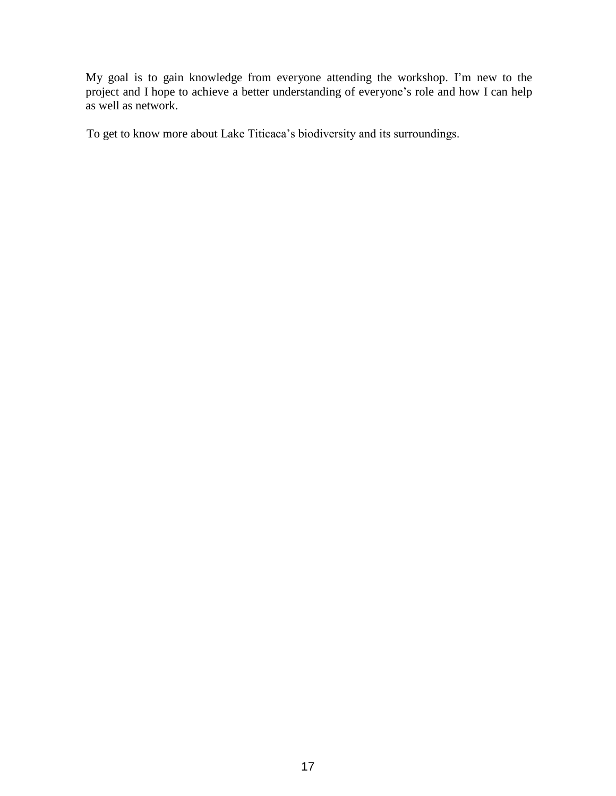My goal is to gain knowledge from everyone attending the workshop. I'm new to the project and I hope to achieve a better understanding of everyone's role and how I can help as well as network.

To get to know more about Lake Titicaca's biodiversity and its surroundings.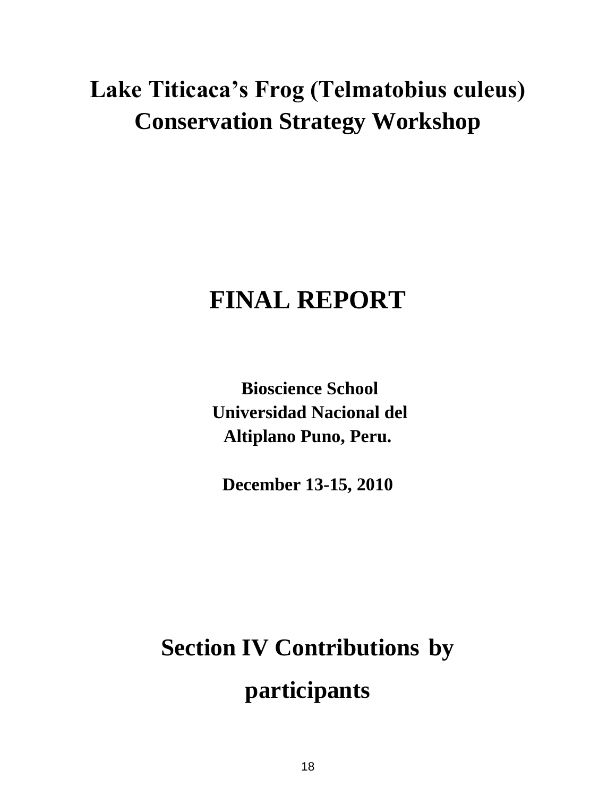# **FINAL REPORT**

**Bioscience School Universidad Nacional del Altiplano Puno, Peru.**

**December 13-15, 2010**

# **Section IV Contributions by participants**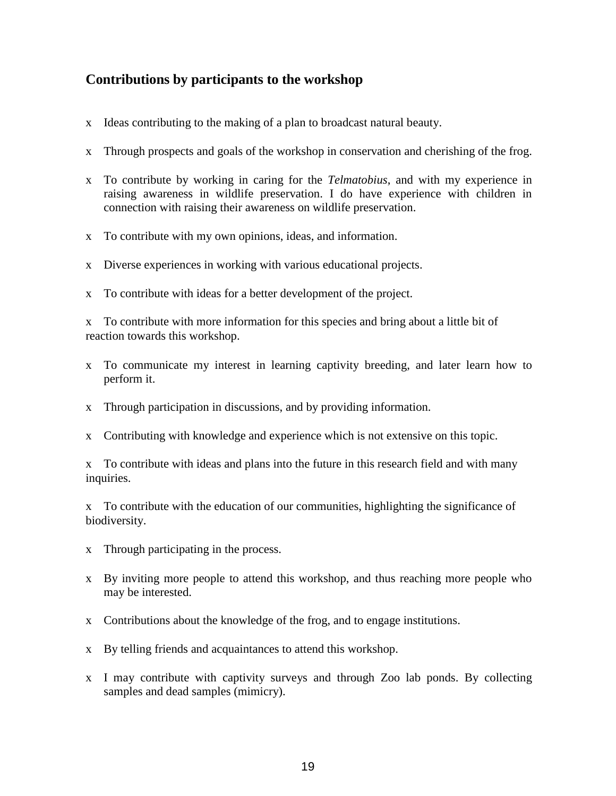### **Contributions by participants to the workshop**

- x Ideas contributing to the making of a plan to broadcast natural beauty.
- x Through prospects and goals of the workshop in conservation and cherishing of the frog.
- x To contribute by working in caring for the *Telmatobius*, and with my experience in raising awareness in wildlife preservation. I do have experience with children in connection with raising their awareness on wildlife preservation.
- x To contribute with my own opinions, ideas, and information.
- x Diverse experiences in working with various educational projects.
- x To contribute with ideas for a better development of the project.

x To contribute with more information for this species and bring about a little bit of reaction towards this workshop.

- x To communicate my interest in learning captivity breeding, and later learn how to perform it.
- x Through participation in discussions, and by providing information.
- x Contributing with knowledge and experience which is not extensive on this topic.

x To contribute with ideas and plans into the future in this research field and with many inquiries.

x To contribute with the education of our communities, highlighting the significance of biodiversity.

- x Through participating in the process.
- x By inviting more people to attend this workshop, and thus reaching more people who may be interested.
- x Contributions about the knowledge of the frog, and to engage institutions.
- x By telling friends and acquaintances to attend this workshop.
- x I may contribute with captivity surveys and through Zoo lab ponds. By collecting samples and dead samples (mimicry).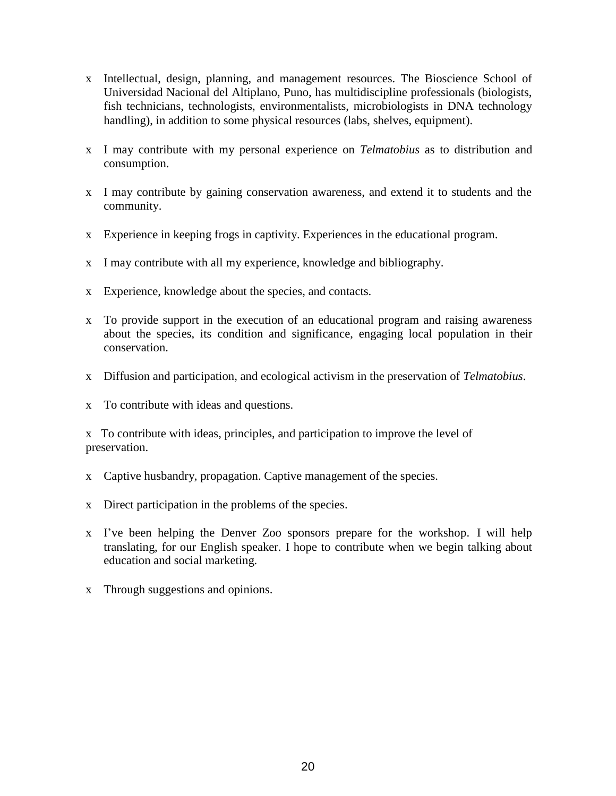- x Intellectual, design, planning, and management resources. The Bioscience School of Universidad Nacional del Altiplano, Puno, has multidiscipline professionals (biologists, fish technicians, technologists, environmentalists, microbiologists in DNA technology handling), in addition to some physical resources (labs, shelves, equipment).
- x I may contribute with my personal experience on *Telmatobius* as to distribution and consumption.
- x I may contribute by gaining conservation awareness, and extend it to students and the community.
- x Experience in keeping frogs in captivity. Experiences in the educational program.
- x I may contribute with all my experience, knowledge and bibliography.
- x Experience, knowledge about the species, and contacts.
- x To provide support in the execution of an educational program and raising awareness about the species, its condition and significance, engaging local population in their conservation.
- x Diffusion and participation, and ecological activism in the preservation of *Telmatobius*.
- x To contribute with ideas and questions.

x To contribute with ideas, principles, and participation to improve the level of preservation.

- x Captive husbandry, propagation. Captive management of the species.
- x Direct participation in the problems of the species.
- x I've been helping the Denver Zoo sponsors prepare for the workshop. I will help translating, for our English speaker. I hope to contribute when we begin talking about education and social marketing.
- x Through suggestions and opinions.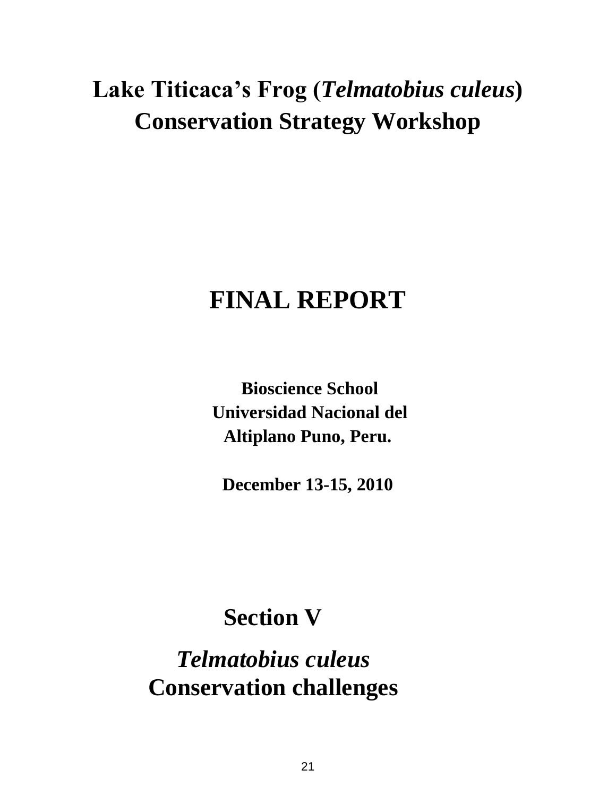# **FINAL REPORT**

**Bioscience School Universidad Nacional del Altiplano Puno, Peru.**

**December 13-15, 2010**

### **Section V**

*Telmatobius culeus* **Conservation challenges**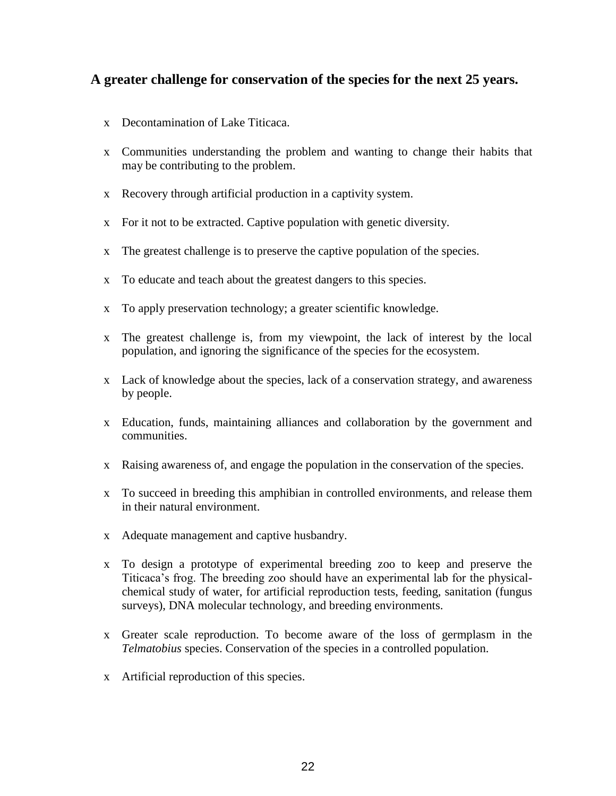### **A greater challenge for conservation of the species for the next 25 years.**

- x Decontamination of Lake Titicaca.
- x Communities understanding the problem and wanting to change their habits that may be contributing to the problem.
- x Recovery through artificial production in a captivity system.
- x For it not to be extracted. Captive population with genetic diversity.
- x The greatest challenge is to preserve the captive population of the species.
- x To educate and teach about the greatest dangers to this species.
- x To apply preservation technology; a greater scientific knowledge.
- x The greatest challenge is, from my viewpoint, the lack of interest by the local population, and ignoring the significance of the species for the ecosystem.
- x Lack of knowledge about the species, lack of a conservation strategy, and awareness by people.
- x Education, funds, maintaining alliances and collaboration by the government and communities.
- x Raising awareness of, and engage the population in the conservation of the species.
- x To succeed in breeding this amphibian in controlled environments, and release them in their natural environment.
- x Adequate management and captive husbandry.
- x To design a prototype of experimental breeding zoo to keep and preserve the Titicaca's frog. The breeding zoo should have an experimental lab for the physicalchemical study of water, for artificial reproduction tests, feeding, sanitation (fungus surveys), DNA molecular technology, and breeding environments.
- x Greater scale reproduction. To become aware of the loss of germplasm in the *Telmatobius* species. Conservation of the species in a controlled population.
- x Artificial reproduction of this species.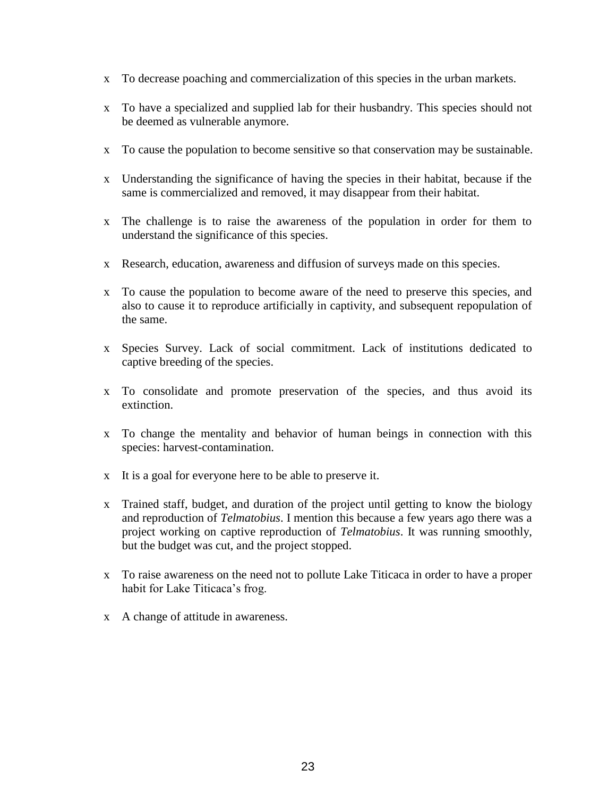- x To decrease poaching and commercialization of this species in the urban markets.
- x To have a specialized and supplied lab for their husbandry. This species should not be deemed as vulnerable anymore.
- x To cause the population to become sensitive so that conservation may be sustainable.
- x Understanding the significance of having the species in their habitat, because if the same is commercialized and removed, it may disappear from their habitat.
- x The challenge is to raise the awareness of the population in order for them to understand the significance of this species.
- x Research, education, awareness and diffusion of surveys made on this species.
- x To cause the population to become aware of the need to preserve this species, and also to cause it to reproduce artificially in captivity, and subsequent repopulation of the same.
- x Species Survey. Lack of social commitment. Lack of institutions dedicated to captive breeding of the species.
- x To consolidate and promote preservation of the species, and thus avoid its extinction.
- x To change the mentality and behavior of human beings in connection with this species: harvest-contamination.
- x It is a goal for everyone here to be able to preserve it.
- x Trained staff, budget, and duration of the project until getting to know the biology and reproduction of *Telmatobius*. I mention this because a few years ago there was a project working on captive reproduction of *Telmatobius*. It was running smoothly, but the budget was cut, and the project stopped.
- x To raise awareness on the need not to pollute Lake Titicaca in order to have a proper habit for Lake Titicaca's frog.
- x A change of attitude in awareness.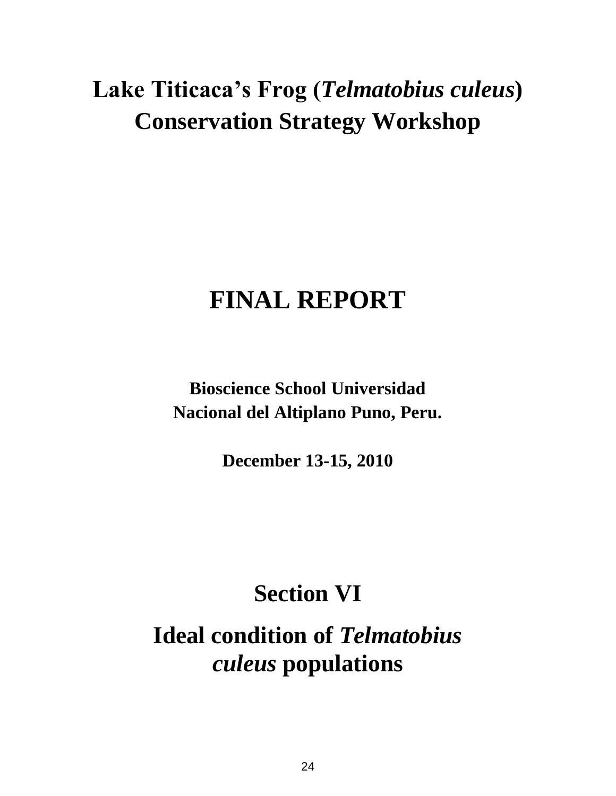# **FINAL REPORT**

**Bioscience School Universidad Nacional del Altiplano Puno, Peru.**

**December 13-15, 2010**

## **Section VI**

**Ideal condition of** *Telmatobius culeus* **populations**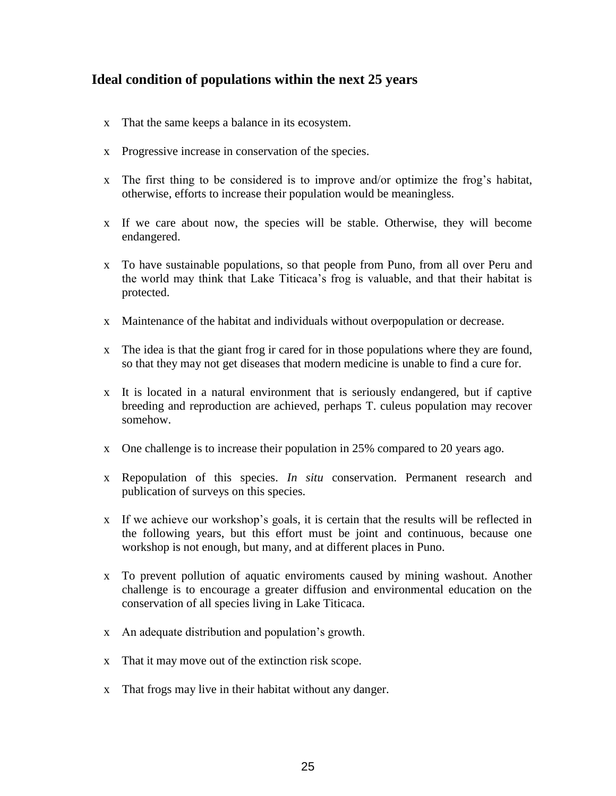### **Ideal condition of populations within the next 25 years**

- x That the same keeps a balance in its ecosystem.
- x Progressive increase in conservation of the species.
- x The first thing to be considered is to improve and/or optimize the frog's habitat, otherwise, efforts to increase their population would be meaningless.
- x If we care about now, the species will be stable. Otherwise, they will become endangered.
- x To have sustainable populations, so that people from Puno, from all over Peru and the world may think that Lake Titicaca's frog is valuable, and that their habitat is protected.
- x Maintenance of the habitat and individuals without overpopulation or decrease.
- x The idea is that the giant frog ir cared for in those populations where they are found, so that they may not get diseases that modern medicine is unable to find a cure for.
- x It is located in a natural environment that is seriously endangered, but if captive breeding and reproduction are achieved, perhaps T. culeus population may recover somehow.
- x One challenge is to increase their population in 25% compared to 20 years ago.
- x Repopulation of this species. *In situ* conservation. Permanent research and publication of surveys on this species.
- x If we achieve our workshop's goals, it is certain that the results will be reflected in the following years, but this effort must be joint and continuous, because one workshop is not enough, but many, and at different places in Puno.
- x To prevent pollution of aquatic enviroments caused by mining washout. Another challenge is to encourage a greater diffusion and environmental education on the conservation of all species living in Lake Titicaca.
- x An adequate distribution and population's growth.
- x That it may move out of the extinction risk scope.
- x That frogs may live in their habitat without any danger.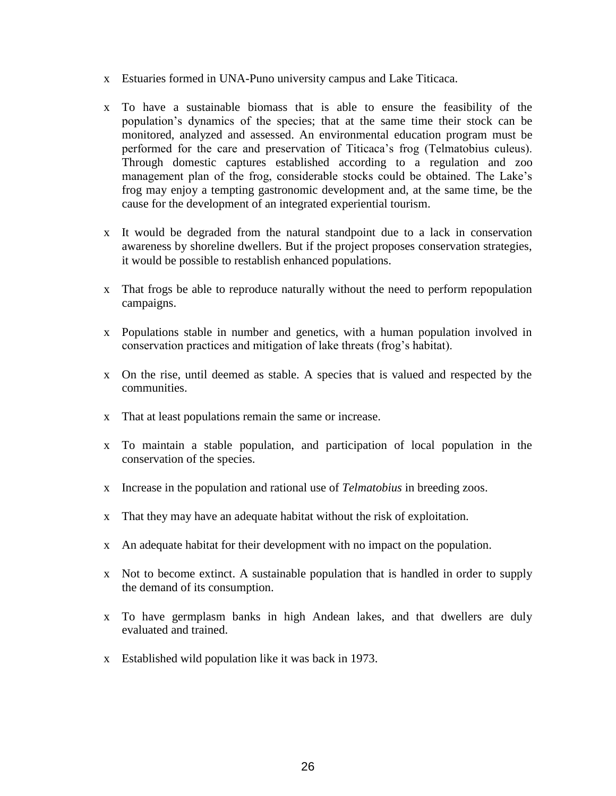- x Estuaries formed in UNA-Puno university campus and Lake Titicaca.
- x To have a sustainable biomass that is able to ensure the feasibility of the population's dynamics of the species; that at the same time their stock can be monitored, analyzed and assessed. An environmental education program must be performed for the care and preservation of Titicaca's frog (Telmatobius culeus). Through domestic captures established according to a regulation and zoo management plan of the frog, considerable stocks could be obtained. The Lake's frog may enjoy a tempting gastronomic development and, at the same time, be the cause for the development of an integrated experiential tourism.
- x It would be degraded from the natural standpoint due to a lack in conservation awareness by shoreline dwellers. But if the project proposes conservation strategies, it would be possible to restablish enhanced populations.
- x That frogs be able to reproduce naturally without the need to perform repopulation campaigns.
- x Populations stable in number and genetics, with a human population involved in conservation practices and mitigation of lake threats (frog's habitat).
- x On the rise, until deemed as stable. A species that is valued and respected by the communities.
- x That at least populations remain the same or increase.
- x To maintain a stable population, and participation of local population in the conservation of the species.
- x Increase in the population and rational use of *Telmatobius* in breeding zoos.
- x That they may have an adequate habitat without the risk of exploitation.
- x An adequate habitat for their development with no impact on the population.
- x Not to become extinct. A sustainable population that is handled in order to supply the demand of its consumption.
- x To have germplasm banks in high Andean lakes, and that dwellers are duly evaluated and trained.
- x Established wild population like it was back in 1973.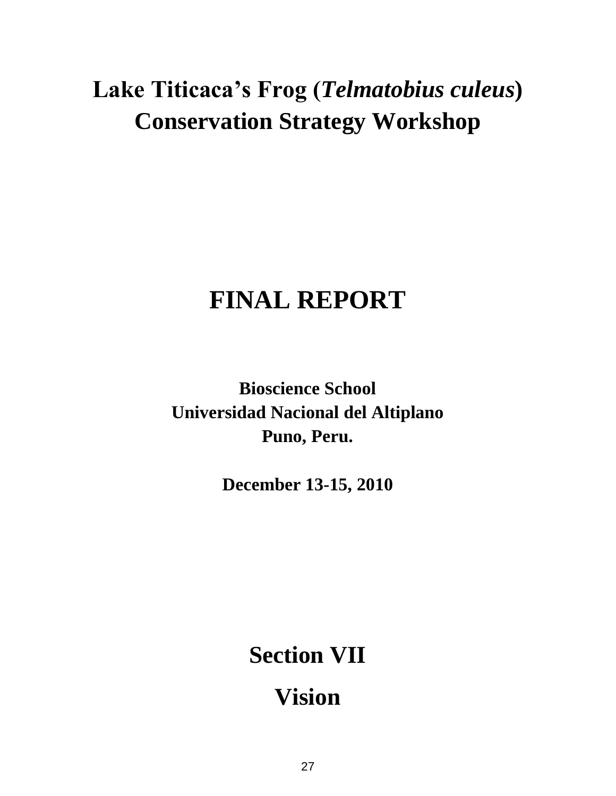# **FINAL REPORT**

**Bioscience School Universidad Nacional del Altiplano Puno, Peru.**

**December 13-15, 2010**

**Section VII** 

**Vision**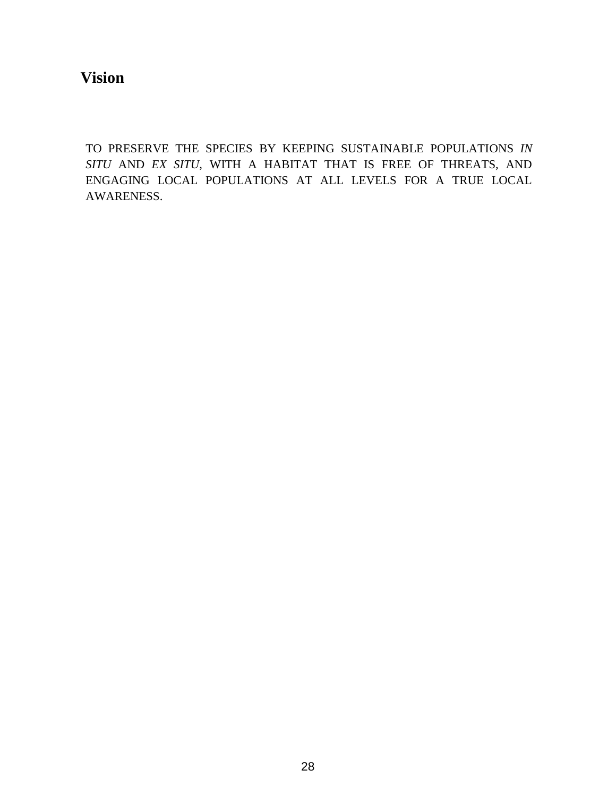**Vision**

TO PRESERVE THE SPECIES BY KEEPING SUSTAINABLE POPULATIONS *IN SITU* AND *EX SITU*, WITH A HABITAT THAT IS FREE OF THREATS, AND ENGAGING LOCAL POPULATIONS AT ALL LEVELS FOR A TRUE LOCAL AWARENESS.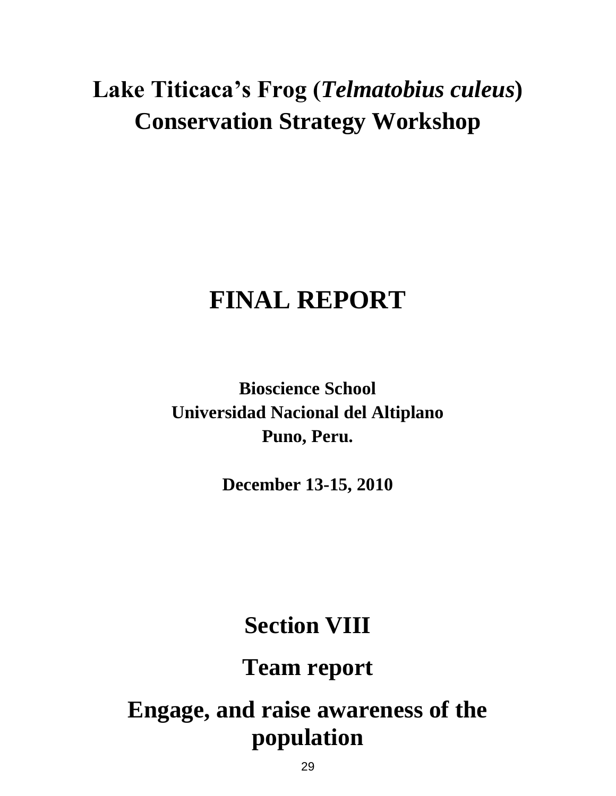# **FINAL REPORT**

**Bioscience School Universidad Nacional del Altiplano Puno, Peru.**

**December 13-15, 2010**

# **Section VIII**

**Team report**

# **Engage, and raise awareness of the population**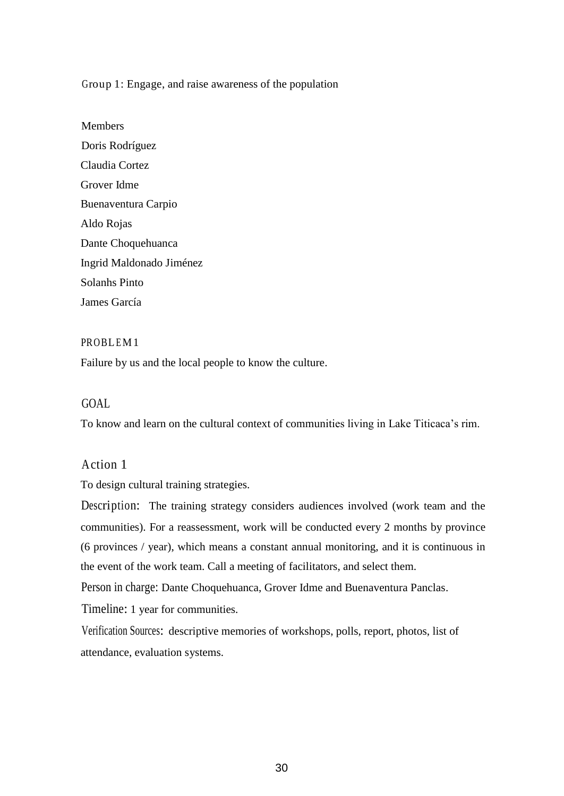Group 1: Engage, and raise awareness of the population

**Members** Doris Rodríguez Claudia Cortez Grover Idme Buenaventura Carpio Aldo Rojas Dante Choquehuanca Ingrid Maldonado Jiménez Solanhs Pinto James García

#### PROBLEM1

Failure by us and the local people to know the culture.

### GOAL

To know and learn on the cultural context of communities living in Lake Titicaca's rim.

### Action 1

To design cultural training strategies.

Description: The training strategy considers audiences involved (work team and the communities). For a reassessment, work will be conducted every 2 months by province (6 provinces / year), which means a constant annual monitoring, and it is continuous in the event of the work team. Call a meeting of facilitators, and select them.

Person in charge: Dante Choquehuanca, Grover Idme and Buenaventura Panclas.

Timeline: 1 year for communities.

Verification Sources: descriptive memories of workshops, polls, report, photos, list of attendance, evaluation systems.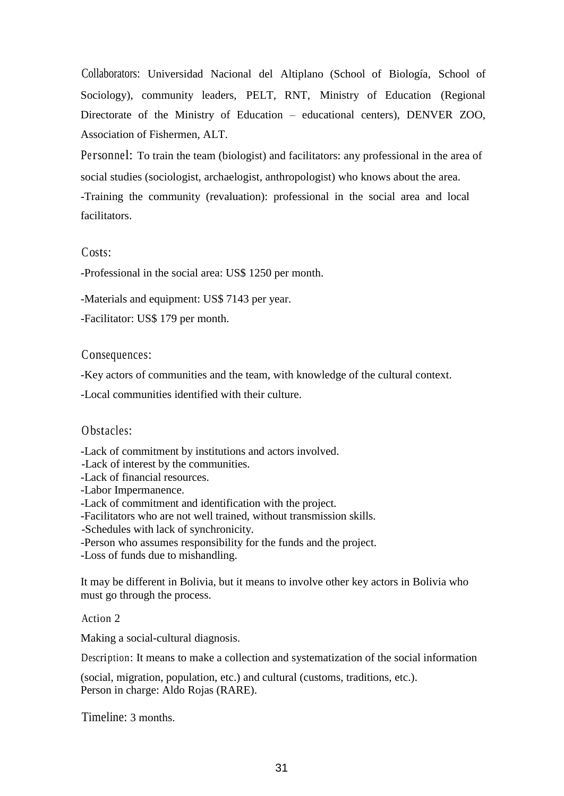Collaborators: Universidad Nacional del Altiplano (School of Biología, School of Sociology), community leaders, PELT, RNT, Ministry of Education (Regional Directorate of the Ministry of Education – educational centers), DENVER ZOO, Association of Fishermen, ALT.

Personnel: To train the team (biologist) and facilitators: any professional in the area of social studies (sociologist, archaelogist, anthropologist) who knows about the area. -Training the community (revaluation): professional in the social area and local facilitators.

### Costs:

-Professional in the social area: US\$ 1250 per month.

-Materials and equipment: US\$ 7143 per year.

-Facilitator: US\$ 179 per month.

#### Consequences:

-Key actors of communities and the team, with knowledge of the cultural context.

-Local communities identified with their culture.

### Obstacles:

-Lack of commitment by institutions and actors involved.

-Lack of interest by the communities.

-Lack of financial resources.

-Labor Impermanence.

-Lack of commitment and identification with the project.

-Facilitators who are not well trained, without transmission skills.

-Schedules with lack of synchronicity.

-Person who assumes responsibility for the funds and the project.

-Loss of funds due to mishandling.

It may be different in Bolivia, but it means to involve other key actors in Bolivia who must go through the process.

Action 2

Making a social-cultural diagnosis.

Description: It means to make a collection and systematization of the social information

(social, migration, population, etc.) and cultural (customs, traditions, etc.). Person in charge: Aldo Rojas (RARE).

Timeline: 3 months.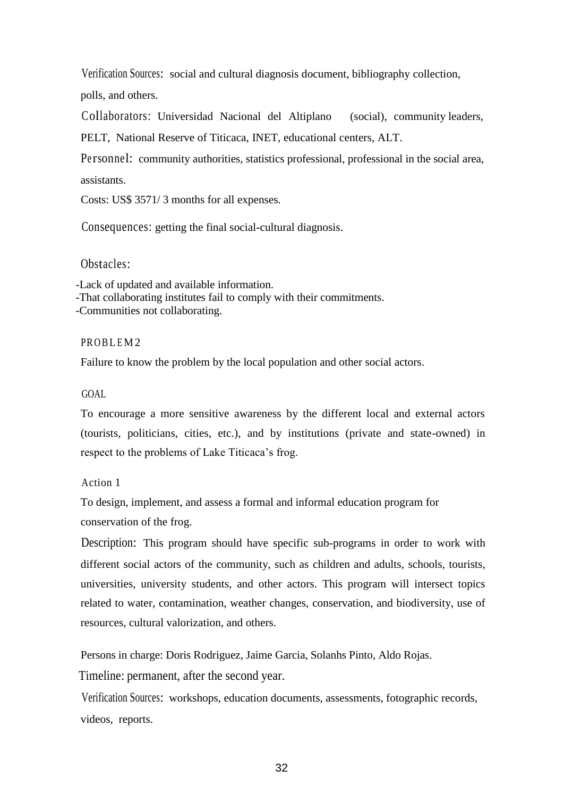Verification Sources: social and cultural diagnosis document, bibliography collection,

polls, and others.

Collaborators: Universidad Nacional del Altiplano (social), community leaders, PELT, National Reserve of Titicaca, INET, educational centers, ALT.

Personnel: community authorities, statistics professional, professional in the social area, assistants.

Costs: US\$ 3571/ 3 months for all expenses.

Consequences: getting the final social-cultural diagnosis.

Obstacles:

-Lack of updated and available information.

-That collaborating institutes fail to comply with their commitments.

-Communities not collaborating.

#### PROBLEM<sub>2</sub>

Failure to know the problem by the local population and other social actors.

GOAL

To encourage a more sensitive awareness by the different local and external actors (tourists, politicians, cities, etc.), and by institutions (private and state-owned) in respect to the problems of Lake Titicaca's frog.

Action 1

To design, implement, and assess a formal and informal education program for conservation of the frog.

Description: This program should have specific sub-programs in order to work with different social actors of the community, such as children and adults, schools, tourists, universities, university students, and other actors. This program will intersect topics related to water, contamination, weather changes, conservation, and biodiversity, use of resources, cultural valorization, and others.

Persons in charge: Doris Rodriguez, Jaime Garcia, Solanhs Pinto, Aldo Rojas.

Timeline: permanent, after the second year.

Verification Sources: workshops, education documents, assessments, fotographic records, videos, reports.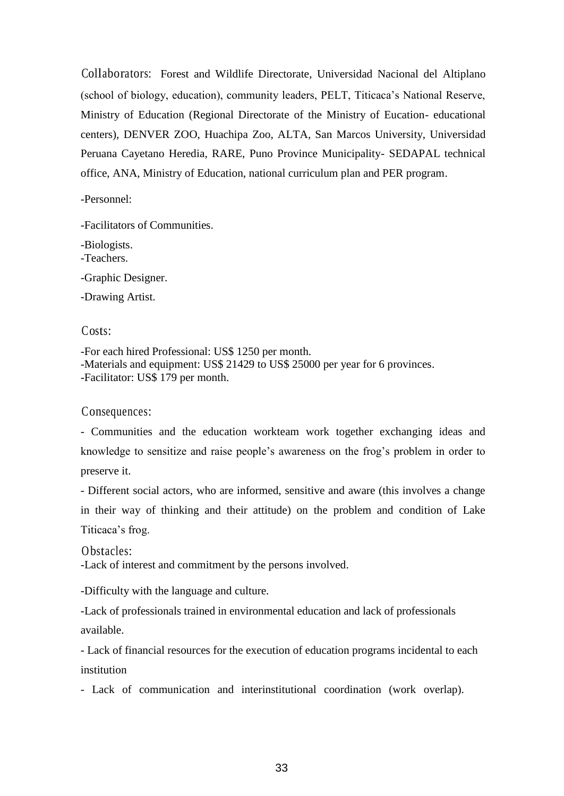Collaborators: Forest and Wildlife Directorate, Universidad Nacional del Altiplano (school of biology, education), community leaders, PELT, Titicaca's National Reserve, Ministry of Education (Regional Directorate of the Ministry of Eucation- educational centers), DENVER ZOO, Huachipa Zoo, ALTA, San Marcos University, Universidad Peruana Cayetano Heredia, RARE, Puno Province Municipality- SEDAPAL technical office, ANA, Ministry of Education, national curriculum plan and PER program.

-Personnel:

-Facilitators of Communities.

-Biologists. -Teachers. -Graphic Designer.

-Drawing Artist.

Costs:

-For each hired Professional: US\$ 1250 per month. -Materials and equipment: US\$ 21429 to US\$ 25000 per year for 6 provinces. -Facilitator: US\$ 179 per month.

Consequences:

- Communities and the education workteam work together exchanging ideas and knowledge to sensitize and raise people's awareness on the frog's problem in order to preserve it.

- Different social actors, who are informed, sensitive and aware (this involves a change in their way of thinking and their attitude) on the problem and condition of Lake Titicaca's frog.

Obstacles: -Lack of interest and commitment by the persons involved.

-Difficulty with the language and culture.

-Lack of professionals trained in environmental education and lack of professionals available.

- Lack of financial resources for the execution of education programs incidental to each institution

- Lack of communication and interinstitutional coordination (work overlap).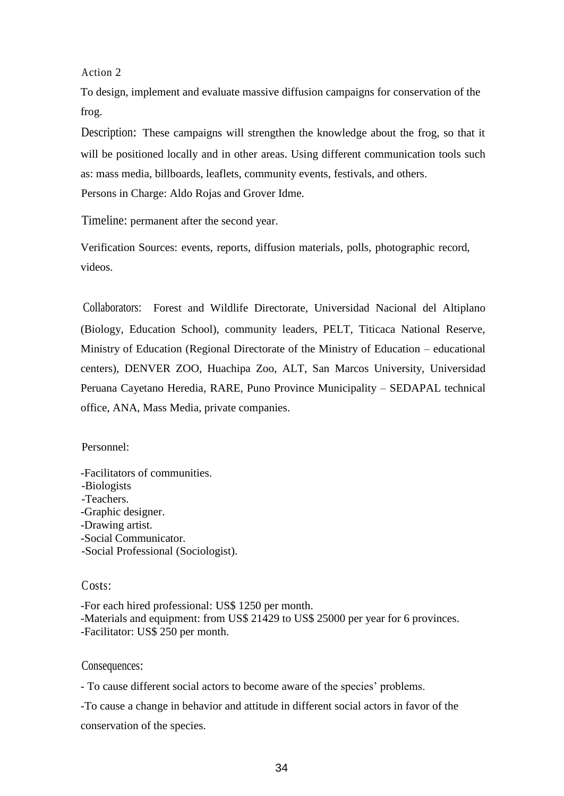Action 2

To design, implement and evaluate massive diffusion campaigns for conservation of the frog.

Description: These campaigns will strengthen the knowledge about the frog, so that it will be positioned locally and in other areas. Using different communication tools such as: mass media, billboards, leaflets, community events, festivals, and others. Persons in Charge: Aldo Rojas and Grover Idme.

Timeline: permanent after the second year.

Verification Sources: events, reports, diffusion materials, polls, photographic record, videos.

Collaborators: Forest and Wildlife Directorate, Universidad Nacional del Altiplano (Biology, Education School), community leaders, PELT, Titicaca National Reserve, Ministry of Education (Regional Directorate of the Ministry of Education – educational centers), DENVER ZOO, Huachipa Zoo, ALT, San Marcos University, Universidad Peruana Cayetano Heredia, RARE, Puno Province Municipality – SEDAPAL technical office, ANA, Mass Media, private companies.

Personnel:

-Facilitators of communities. -Biologists -Teachers. -Graphic designer. -Drawing artist. -Social Communicator. -Social Professional (Sociologist).

Costs:

-For each hired professional: US\$ 1250 per month. -Materials and equipment: from US\$ 21429 to US\$ 25000 per year for 6 provinces. -Facilitator: US\$ 250 per month.

Consequences:

- To cause different social actors to become aware of the species' problems.

-To cause a change in behavior and attitude in different social actors in favor of the conservation of the species.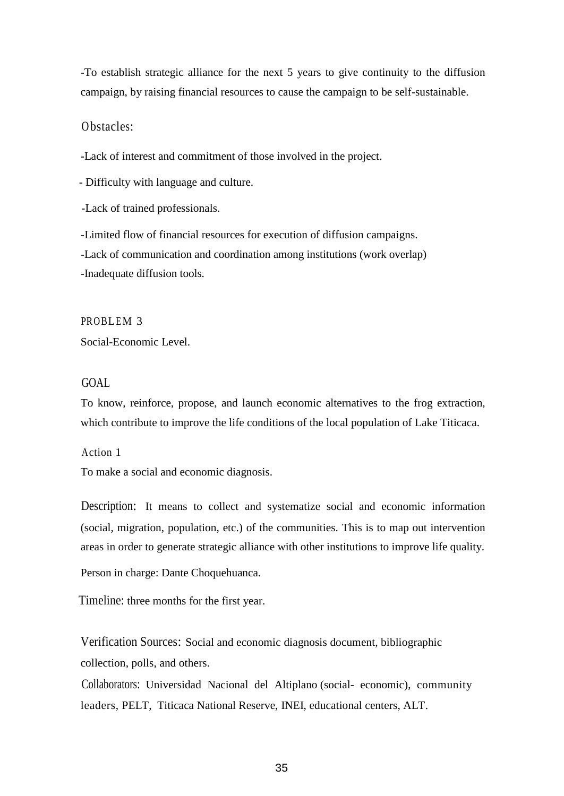-To establish strategic alliance for the next 5 years to give continuity to the diffusion campaign, by raising financial resources to cause the campaign to be self-sustainable.

#### Obstacles:

-Lack of interest and commitment of those involved in the project.

- Difficulty with language and culture.

-Lack of trained professionals.

-Limited flow of financial resources for execution of diffusion campaigns. -Lack of communication and coordination among institutions (work overlap) -Inadequate diffusion tools.

PROBLEM 3 Social-Economic Level.

### GOAL

To know, reinforce, propose, and launch economic alternatives to the frog extraction, which contribute to improve the life conditions of the local population of Lake Titicaca.

Action 1 To make a social and economic diagnosis.

Description: It means to collect and systematize social and economic information (social, migration, population, etc.) of the communities. This is to map out intervention areas in order to generate strategic alliance with other institutions to improve life quality.

Person in charge: Dante Choquehuanca.

Timeline: three months for the first year.

Verification Sources: Social and economic diagnosis document, bibliographic collection, polls, and others.

Collaborators: Universidad Nacional del Altiplano (social- economic), community leaders, PELT, Titicaca National Reserve, INEI, educational centers, ALT.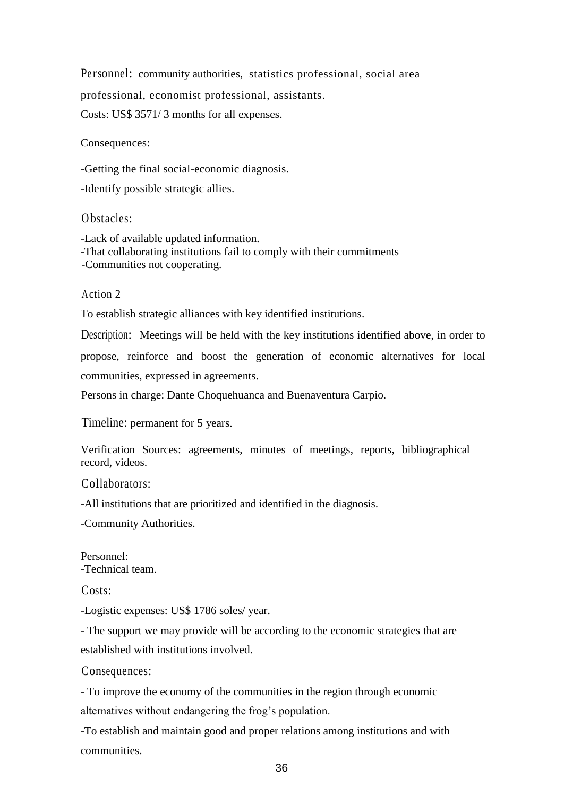Pe rsonnel: community authorities, statistics professional, social area professional, economist professional, assistants. Costs: US\$ 3571/ 3 months for all expenses.

Consequences:

-Getting the final social-economic diagnosis.

-Identify possible strategic allies.

Obstacles:

-Lack of available updated information. -That collaborating institutions fail to comply with their commitments -Communities not cooperating.

Action 2

To establish strategic alliances with key identified institutions.

Description: Meetings will be held with the key institutions identified above, in order to propose, reinforce and boost the generation of economic alternatives for local communities, expressed in agreements.

Persons in charge: Dante Choquehuanca and Buenaventura Carpio.

Timeline: permanent for 5 years.

Verification Sources: agreements, minutes of meetings, reports, bibliographical record, videos.

Collaborators:

-All institutions that are prioritized and identified in the diagnosis.

-Community Authorities.

Personnel: -Technical team.

Costs:

-Logistic expenses: US\$ 1786 soles/ year.

- The support we may provide will be according to the economic strategies that are established with institutions involved.

Consequences:

- To improve the economy of the communities in the region through economic alternatives without endangering the frog's population.

-To establish and maintain good and proper relations among institutions and with communities.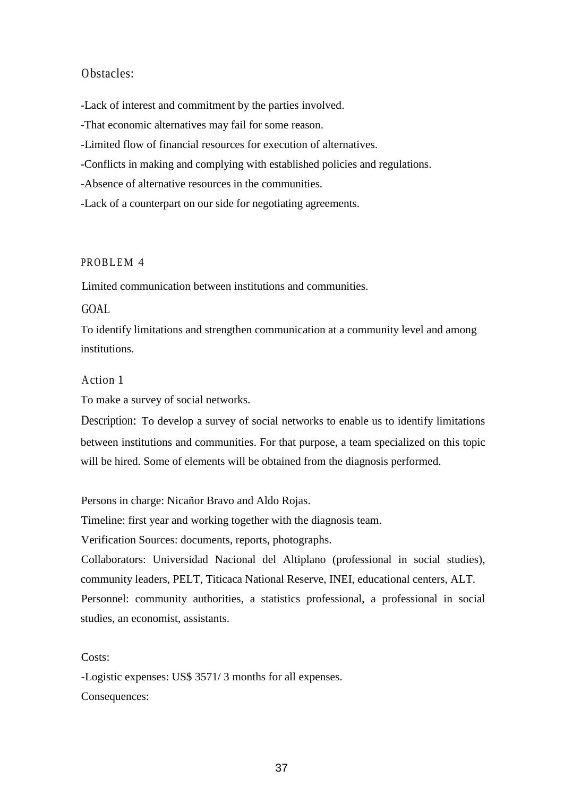# Obstacles:

-Lack of interest and commitment by the parties involved.

-That economic alternatives may fail for some reason.

-Limited flow of financial resources for execution of alternatives.

-Conflicts in making and complying with established policies and regulations.

-Absence of alternative resources in the communities.

-Lack of a counterpart on our side for negotiating agreements.

#### PROBLEM 4

Limited communication between institutions and communities.

# GOAL

To identify limitations and strengthen communication at a community level and among institutions.

## Action 1

To make a survey of social networks.

Description: To develop a survey of social networks to enable us to identify limitations between institutions and communities. For that purpose, a team specialized on this topic will be hired. Some of elements will be obtained from the diagnosis performed.

Persons in charge: Nicañor Bravo and Aldo Rojas.

Timeline: first year and working together with the diagnosis team.

Verification Sources: documents, reports, photographs.

Collaborators: Universidad Nacional del Altiplano (professional in social studies), community leaders, PELT, Titicaca National Reserve, INEI, educational centers, ALT. Personnel: community authorities, a statistics professional, a professional in social studies, an economist, assistants.

#### Costs:

-Logistic expenses: US\$ 3571/ 3 months for all expenses. Consequences: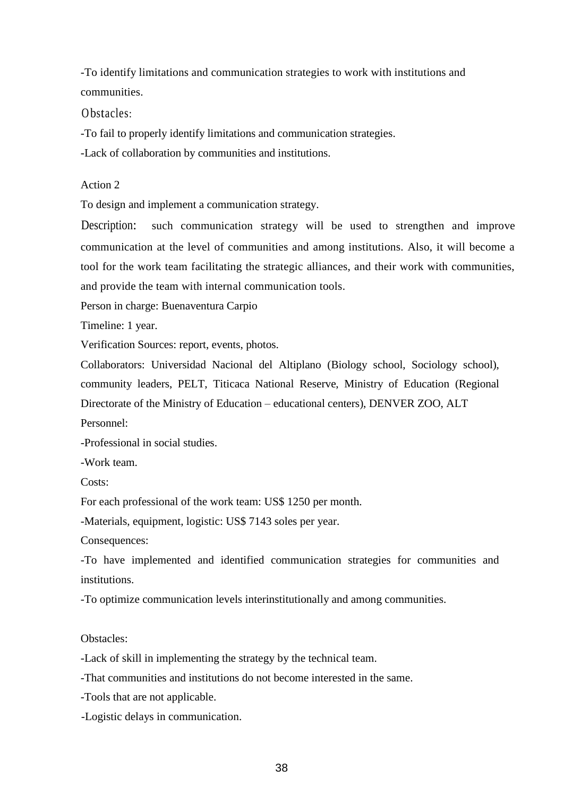-To identify limitations and communication strategies to work with institutions and communities.

Obstacles:

-To fail to properly identify limitations and communication strategies.

-Lack of collaboration by communities and institutions.

Action 2

To design and implement a communication strategy.

Description: such communication strategy will be used to strengthen and improve communication at the level of communities and among institutions. Also, it will become a tool for the work team facilitating the strategic alliances, and their work with communities, and provide the team with internal communication tools.

Person in charge: Buenaventura Carpio

Timeline: 1 year.

Verification Sources: report, events, photos.

Collaborators: Universidad Nacional del Altiplano (Biology school, Sociology school), community leaders, PELT, Titicaca National Reserve, Ministry of Education (Regional Directorate of the Ministry of Education – educational centers), DENVER ZOO, ALT Personnel:

-Professional in social studies.

-Work team.

Costs:

For each professional of the work team: US\$ 1250 per month.

-Materials, equipment, logistic: US\$ 7143 soles per year.

Consequences:

-To have implemented and identified communication strategies for communities and institutions.

-To optimize communication levels interinstitutionally and among communities.

# Obstacles:

-Lack of skill in implementing the strategy by the technical team.

-That communities and institutions do not become interested in the same.

-Tools that are not applicable.

-Logistic delays in communication.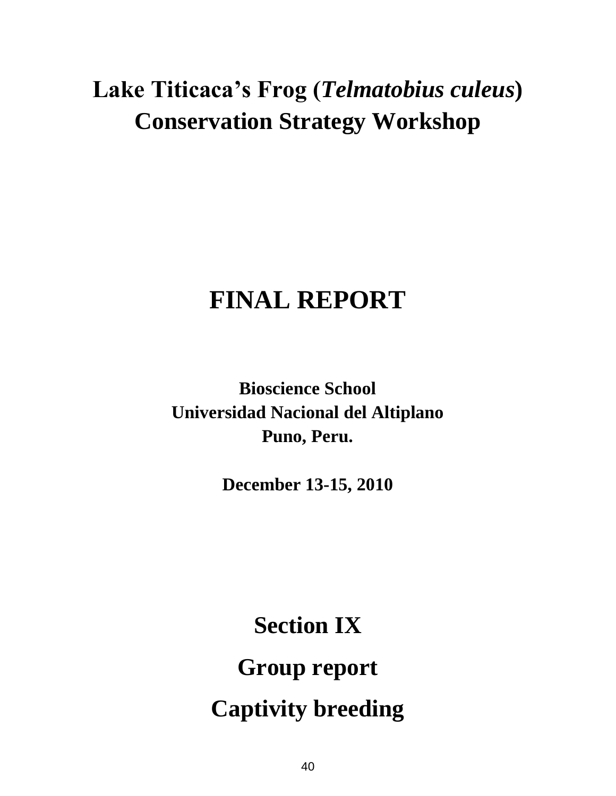# **Lake Titicaca's Frog (***Telmatobius culeus***) Conservation Strategy Workshop**

# **FINAL REPORT**

**Bioscience School Universidad Nacional del Altiplano Puno, Peru.**

**December 13-15, 2010**

**Section IX Group report Captivity breeding**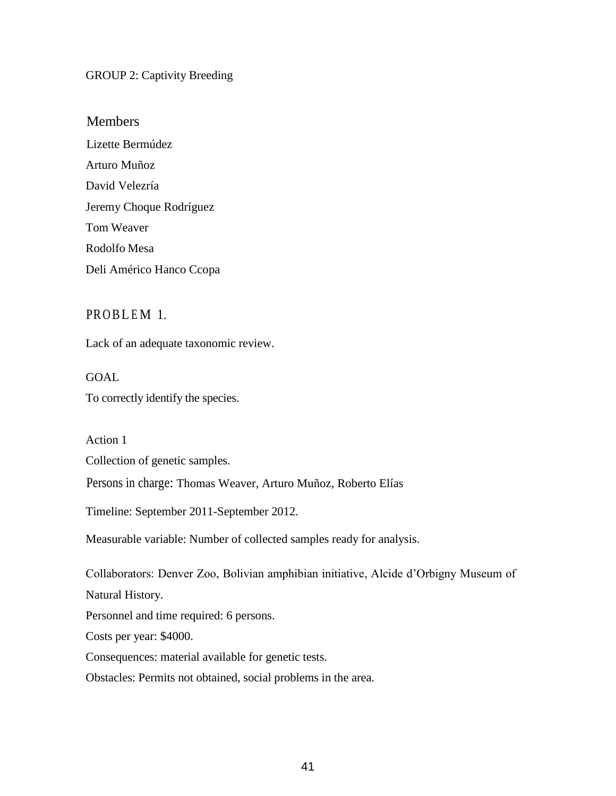## GROUP 2: Captivity Breeding

# Members

Lizette Bermúdez Arturo Muñoz David Velezría Jeremy Choque Rodríguez Tom Weaver Rodolfo Mesa Deli Américo Hanco Ccopa

# PROBLEM 1.

Lack of an adequate taxonomic review.

# GOAL To correctly identify the species.

Action 1

Collection of genetic samples.

Persons in charge: Thomas Weaver, Arturo Muñoz, Roberto Elías

Timeline: September 2011-September 2012.

Measurable variable: Number of collected samples ready for analysis.

Collaborators: Denver Zoo, Bolivian amphibian initiative, Alcide d'Orbigny Museum of Natural History. Personnel and time required: 6 persons. Costs per year: \$4000. Consequences: material available for genetic tests.

Obstacles: Permits not obtained, social problems in the area.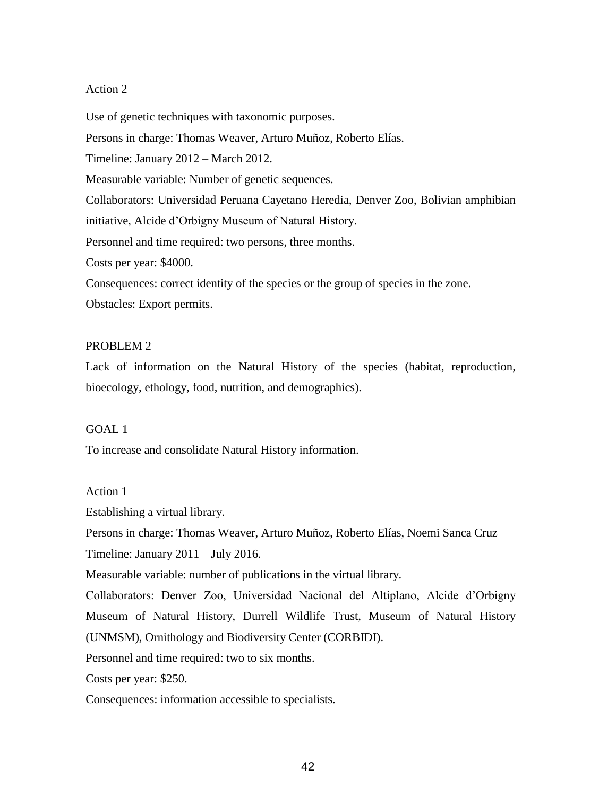Use of genetic techniques with taxonomic purposes.

Persons in charge: Thomas Weaver, Arturo Muñoz, Roberto Elías.

Timeline: January 2012 – March 2012.

Measurable variable: Number of genetic sequences.

Collaborators: Universidad Peruana Cayetano Heredia, Denver Zoo, Bolivian amphibian

initiative, Alcide d'Orbigny Museum of Natural History.

Personnel and time required: two persons, three months.

Costs per year: \$4000.

Consequences: correct identity of the species or the group of species in the zone.

Obstacles: Export permits.

#### PROBLEM 2

Lack of information on the Natural History of the species (habitat, reproduction, bioecology, ethology, food, nutrition, and demographics).

#### GOAL 1

To increase and consolidate Natural History information.

#### Action 1

Establishing a virtual library.

Persons in charge: Thomas Weaver, Arturo Muñoz, Roberto Elías, Noemi Sanca Cruz

Timeline: January 2011 – July 2016.

Measurable variable: number of publications in the virtual library.

Collaborators: Denver Zoo, Universidad Nacional del Altiplano, Alcide d'Orbigny Museum of Natural History, Durrell Wildlife Trust, Museum of Natural History (UNMSM), Ornithology and Biodiversity Center (CORBIDI).

Personnel and time required: two to six months.

Costs per year: \$250.

Consequences: information accessible to specialists.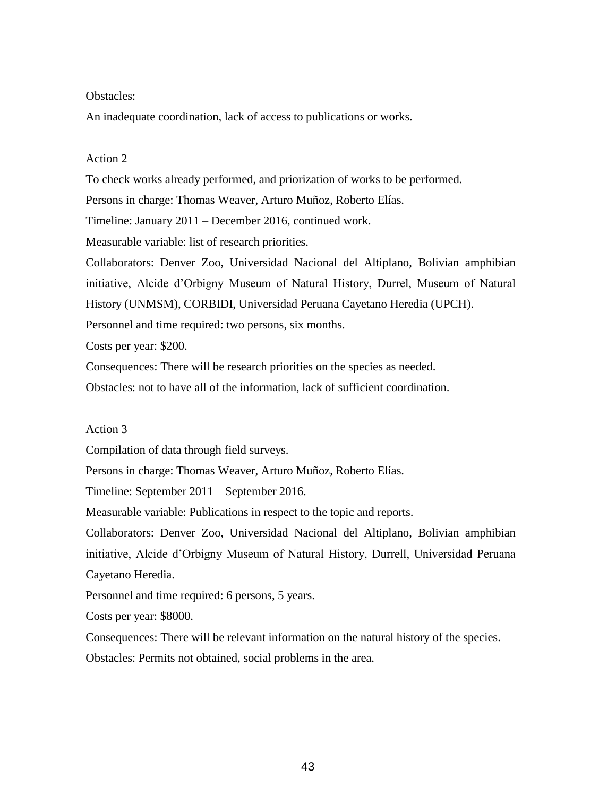#### Obstacles:

An inadequate coordination, lack of access to publications or works.

#### Action 2

To check works already performed, and priorization of works to be performed.

Persons in charge: Thomas Weaver, Arturo Muñoz, Roberto Elías.

Timeline: January 2011 – December 2016, continued work.

Measurable variable: list of research priorities.

Collaborators: Denver Zoo, Universidad Nacional del Altiplano, Bolivian amphibian initiative, Alcide d'Orbigny Museum of Natural History, Durrel, Museum of Natural History (UNMSM), CORBIDI, Universidad Peruana Cayetano Heredia (UPCH).

Personnel and time required: two persons, six months.

Costs per year: \$200.

Consequences: There will be research priorities on the species as needed.

Obstacles: not to have all of the information, lack of sufficient coordination.

# Action 3

Compilation of data through field surveys.

Persons in charge: Thomas Weaver, Arturo Muñoz, Roberto Elías.

Timeline: September 2011 – September 2016.

Measurable variable: Publications in respect to the topic and reports.

Collaborators: Denver Zoo, Universidad Nacional del Altiplano, Bolivian amphibian initiative, Alcide d'Orbigny Museum of Natural History, Durrell, Universidad Peruana Cayetano Heredia.

Personnel and time required: 6 persons, 5 years.

Costs per year: \$8000.

Consequences: There will be relevant information on the natural history of the species. Obstacles: Permits not obtained, social problems in the area.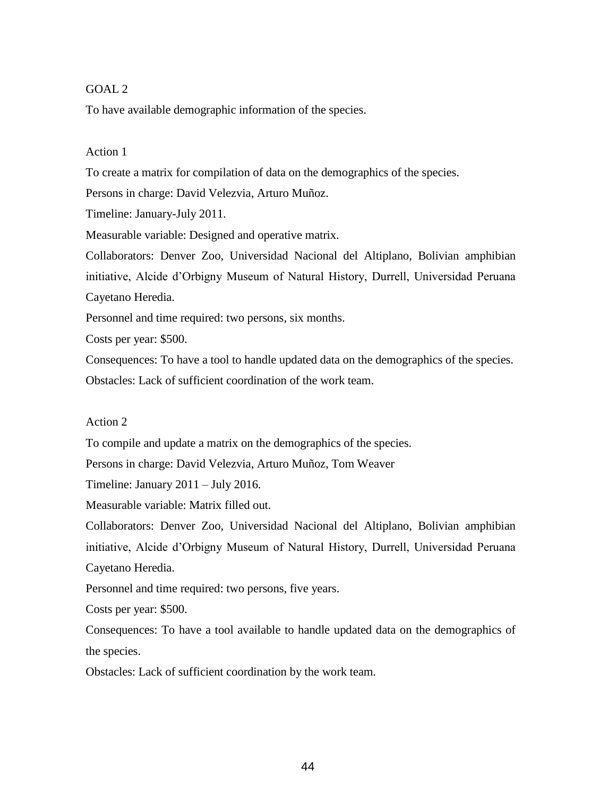## GOAL 2

To have available demographic information of the species.

#### Action 1

To create a matrix for compilation of data on the demographics of the species.

Persons in charge: David Velezvia, Arturo Muñoz.

Timeline: January-July 2011.

Measurable variable: Designed and operative matrix.

Collaborators: Denver Zoo, Universidad Nacional del Altiplano, Bolivian amphibian initiative, Alcide d'Orbigny Museum of Natural History, Durrell, Universidad Peruana Cayetano Heredia.

Personnel and time required: two persons, six months.

Costs per year: \$500.

Consequences: To have a tool to handle updated data on the demographics of the species. Obstacles: Lack of sufficient coordination of the work team.

#### Action 2

To compile and update a matrix on the demographics of the species.

Persons in charge: David Velezvia, Arturo Muñoz, Tom Weaver

Timeline: January 2011 – July 2016.

Measurable variable: Matrix filled out.

Collaborators: Denver Zoo, Universidad Nacional del Altiplano, Bolivian amphibian initiative, Alcide d'Orbigny Museum of Natural History, Durrell, Universidad Peruana Cayetano Heredia.

Personnel and time required: two persons, five years.

Costs per year: \$500.

Consequences: To have a tool available to handle updated data on the demographics of the species.

Obstacles: Lack of sufficient coordination by the work team.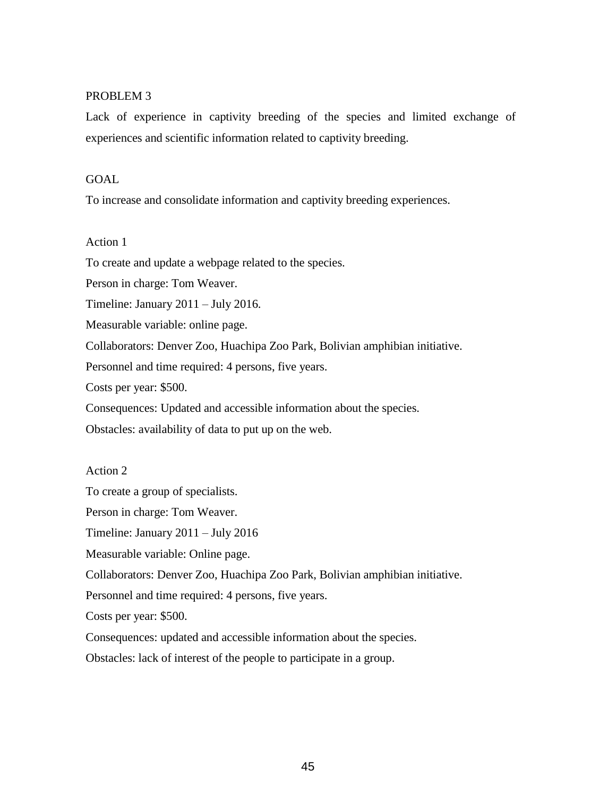#### PROBLEM 3

Lack of experience in captivity breeding of the species and limited exchange of experiences and scientific information related to captivity breeding.

#### GOAL

To increase and consolidate information and captivity breeding experiences.

#### Action 1

To create and update a webpage related to the species.

Person in charge: Tom Weaver.

Timeline: January 2011 – July 2016.

Measurable variable: online page.

Collaborators: Denver Zoo, Huachipa Zoo Park, Bolivian amphibian initiative.

Personnel and time required: 4 persons, five years.

Costs per year: \$500.

Consequences: Updated and accessible information about the species.

Obstacles: availability of data to put up on the web.

#### Action 2

To create a group of specialists.

Person in charge: Tom Weaver.

Timeline: January 2011 – July 2016

Measurable variable: Online page.

Collaborators: Denver Zoo, Huachipa Zoo Park, Bolivian amphibian initiative.

Personnel and time required: 4 persons, five years.

Costs per year: \$500.

Consequences: updated and accessible information about the species.

Obstacles: lack of interest of the people to participate in a group.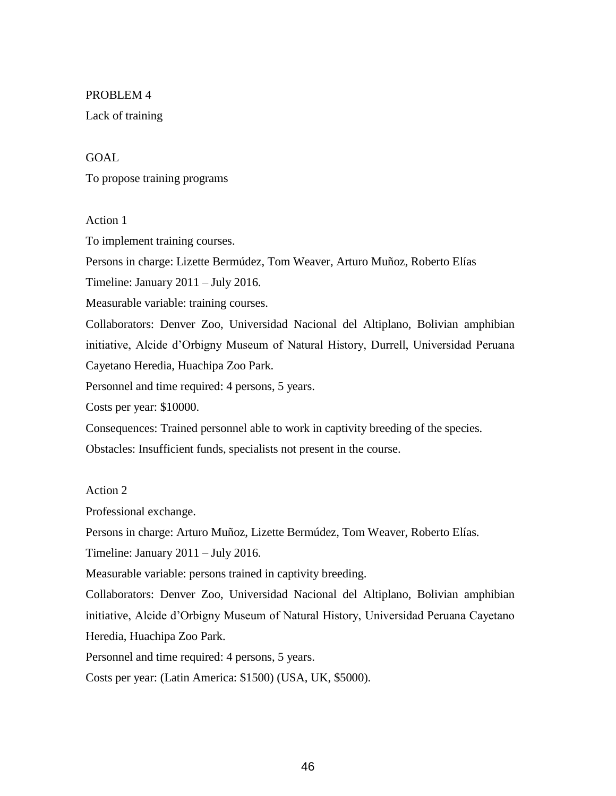#### PROBLEM 4

Lack of training

## GOAL

To propose training programs

#### Action 1

To implement training courses.

Persons in charge: Lizette Bermúdez, Tom Weaver, Arturo Muñoz, Roberto Elías

Timeline: January 2011 – July 2016.

Measurable variable: training courses.

Collaborators: Denver Zoo, Universidad Nacional del Altiplano, Bolivian amphibian initiative, Alcide d'Orbigny Museum of Natural History, Durrell, Universidad Peruana Cayetano Heredia, Huachipa Zoo Park.

Personnel and time required: 4 persons, 5 years.

Costs per year: \$10000.

Consequences: Trained personnel able to work in captivity breeding of the species.

Obstacles: Insufficient funds, specialists not present in the course.

#### Action 2

Professional exchange.

Persons in charge: Arturo Muñoz, Lizette Bermúdez, Tom Weaver, Roberto Elías.

Timeline: January 2011 – July 2016.

Measurable variable: persons trained in captivity breeding.

Collaborators: Denver Zoo, Universidad Nacional del Altiplano, Bolivian amphibian initiative, Alcide d'Orbigny Museum of Natural History, Universidad Peruana Cayetano Heredia, Huachipa Zoo Park.

Personnel and time required: 4 persons, 5 years.

Costs per year: (Latin America: \$1500) (USA, UK, \$5000).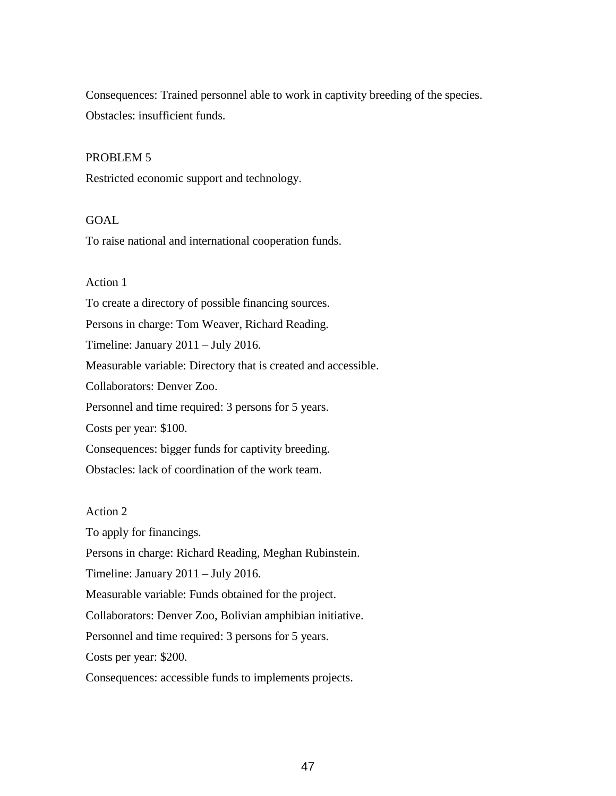Consequences: Trained personnel able to work in captivity breeding of the species. Obstacles: insufficient funds.

#### PROBLEM 5

Restricted economic support and technology.

### GOAL

To raise national and international cooperation funds.

# Action 1

To create a directory of possible financing sources. Persons in charge: Tom Weaver, Richard Reading. Timeline: January 2011 – July 2016. Measurable variable: Directory that is created and accessible. Collaborators: Denver Zoo. Personnel and time required: 3 persons for 5 years. Costs per year: \$100. Consequences: bigger funds for captivity breeding. Obstacles: lack of coordination of the work team.

Action 2

To apply for financings. Persons in charge: Richard Reading, Meghan Rubinstein. Timeline: January 2011 – July 2016. Measurable variable: Funds obtained for the project. Collaborators: Denver Zoo, Bolivian amphibian initiative. Personnel and time required: 3 persons for 5 years.

Costs per year: \$200.

Consequences: accessible funds to implements projects.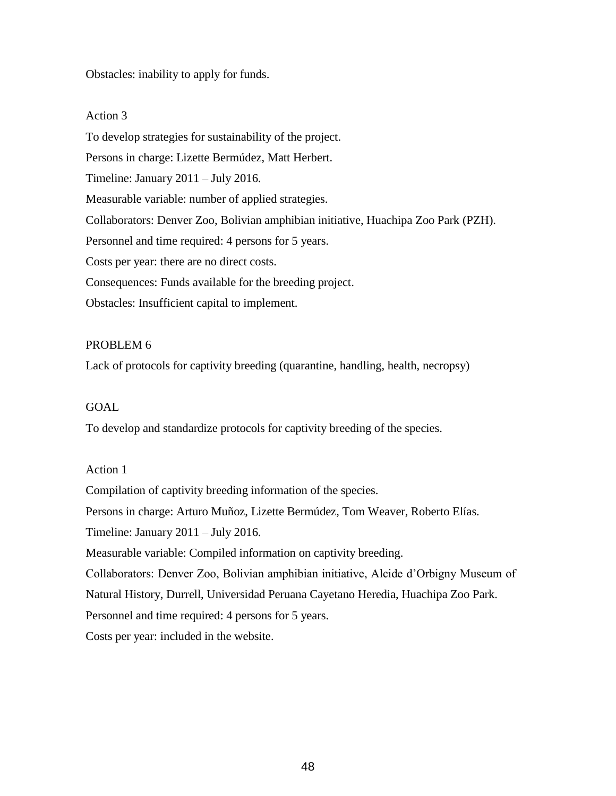Obstacles: inability to apply for funds.

# Action 3

To develop strategies for sustainability of the project. Persons in charge: Lizette Bermúdez, Matt Herbert. Timeline: January 2011 – July 2016. Measurable variable: number of applied strategies. Collaborators: Denver Zoo, Bolivian amphibian initiative, Huachipa Zoo Park (PZH). Personnel and time required: 4 persons for 5 years. Costs per year: there are no direct costs. Consequences: Funds available for the breeding project. Obstacles: Insufficient capital to implement.

# PROBLEM 6

Lack of protocols for captivity breeding (quarantine, handling, health, necropsy)

# GOAL

To develop and standardize protocols for captivity breeding of the species.

# Action 1

Compilation of captivity breeding information of the species. Persons in charge: Arturo Muñoz, Lizette Bermúdez, Tom Weaver, Roberto Elías. Timeline: January 2011 – July 2016. Measurable variable: Compiled information on captivity breeding. Collaborators: Denver Zoo, Bolivian amphibian initiative, Alcide d'Orbigny Museum of Natural History, Durrell, Universidad Peruana Cayetano Heredia, Huachipa Zoo Park. Personnel and time required: 4 persons for 5 years. Costs per year: included in the website.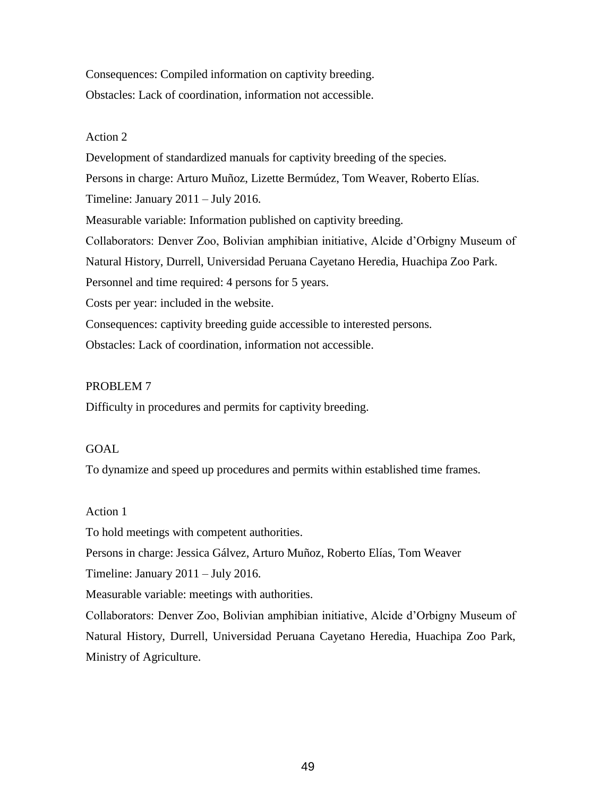Consequences: Compiled information on captivity breeding. Obstacles: Lack of coordination, information not accessible.

## Action 2

Development of standardized manuals for captivity breeding of the species. Persons in charge: Arturo Muñoz, Lizette Bermúdez, Tom Weaver, Roberto Elías. Timeline: January 2011 – July 2016. Measurable variable: Information published on captivity breeding. Collaborators: Denver Zoo, Bolivian amphibian initiative, Alcide d'Orbigny Museum of Natural History, Durrell, Universidad Peruana Cayetano Heredia, Huachipa Zoo Park. Personnel and time required: 4 persons for 5 years. Costs per year: included in the website. Consequences: captivity breeding guide accessible to interested persons. Obstacles: Lack of coordination, information not accessible.

## PROBLEM 7

Difficulty in procedures and permits for captivity breeding.

#### GOAL

To dynamize and speed up procedures and permits within established time frames.

#### Action 1

To hold meetings with competent authorities.

Persons in charge: Jessica Gálvez, Arturo Muñoz, Roberto Elías, Tom Weaver

Timeline: January 2011 – July 2016.

Measurable variable: meetings with authorities.

Collaborators: Denver Zoo, Bolivian amphibian initiative, Alcide d'Orbigny Museum of Natural History, Durrell, Universidad Peruana Cayetano Heredia, Huachipa Zoo Park, Ministry of Agriculture.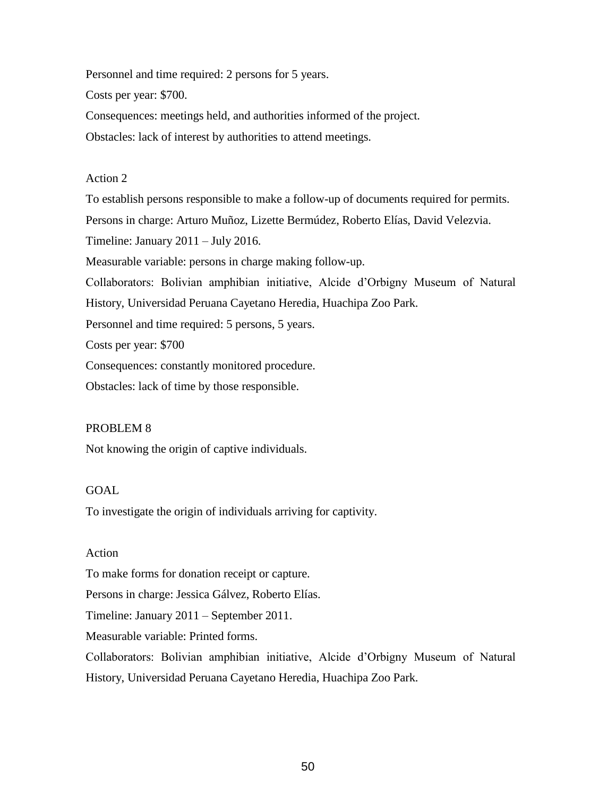Personnel and time required: 2 persons for 5 years.

Costs per year: \$700.

Consequences: meetings held, and authorities informed of the project.

Obstacles: lack of interest by authorities to attend meetings.

#### Action 2

To establish persons responsible to make a follow-up of documents required for permits. Persons in charge: Arturo Muñoz, Lizette Bermúdez, Roberto Elías, David Velezvia. Timeline: January 2011 – July 2016. Measurable variable: persons in charge making follow-up. Collaborators: Bolivian amphibian initiative, Alcide d'Orbigny Museum of Natural History, Universidad Peruana Cayetano Heredia, Huachipa Zoo Park. Personnel and time required: 5 persons, 5 years. Costs per year: \$700 Consequences: constantly monitored procedure. Obstacles: lack of time by those responsible.

# PROBLEM 8

Not knowing the origin of captive individuals.

#### GOAL

To investigate the origin of individuals arriving for captivity.

# Action

To make forms for donation receipt or capture.

Persons in charge: Jessica Gálvez, Roberto Elías.

Timeline: January 2011 – September 2011.

Measurable variable: Printed forms.

Collaborators: Bolivian amphibian initiative, Alcide d'Orbigny Museum of Natural History, Universidad Peruana Cayetano Heredia, Huachipa Zoo Park.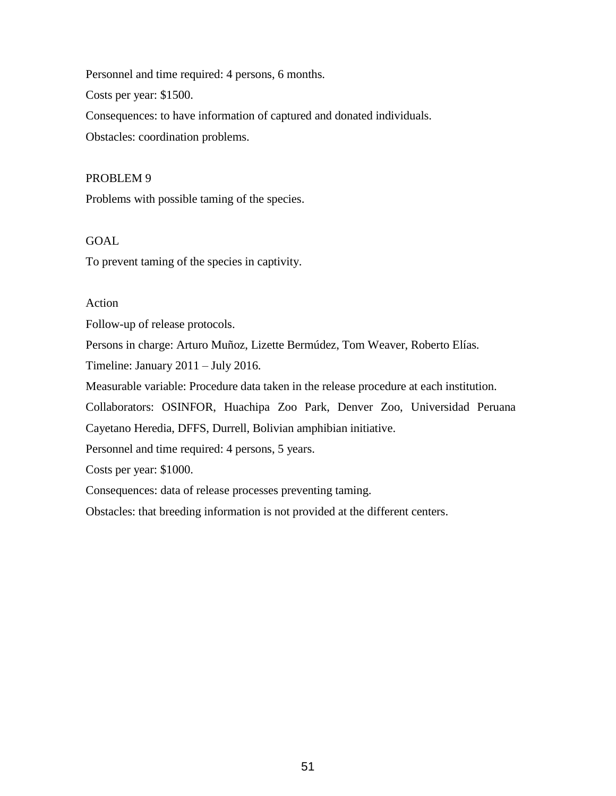Personnel and time required: 4 persons, 6 months.

Costs per year: \$1500.

Consequences: to have information of captured and donated individuals.

Obstacles: coordination problems.

# PROBLEM 9

Problems with possible taming of the species.

# GOAL

To prevent taming of the species in captivity.

# Action

Follow-up of release protocols.

Persons in charge: Arturo Muñoz, Lizette Bermúdez, Tom Weaver, Roberto Elías.

Timeline: January 2011 – July 2016.

Measurable variable: Procedure data taken in the release procedure at each institution.

Collaborators: OSINFOR, Huachipa Zoo Park, Denver Zoo, Universidad Peruana

Cayetano Heredia, DFFS, Durrell, Bolivian amphibian initiative.

Personnel and time required: 4 persons, 5 years.

Costs per year: \$1000.

Consequences: data of release processes preventing taming.

Obstacles: that breeding information is not provided at the different centers.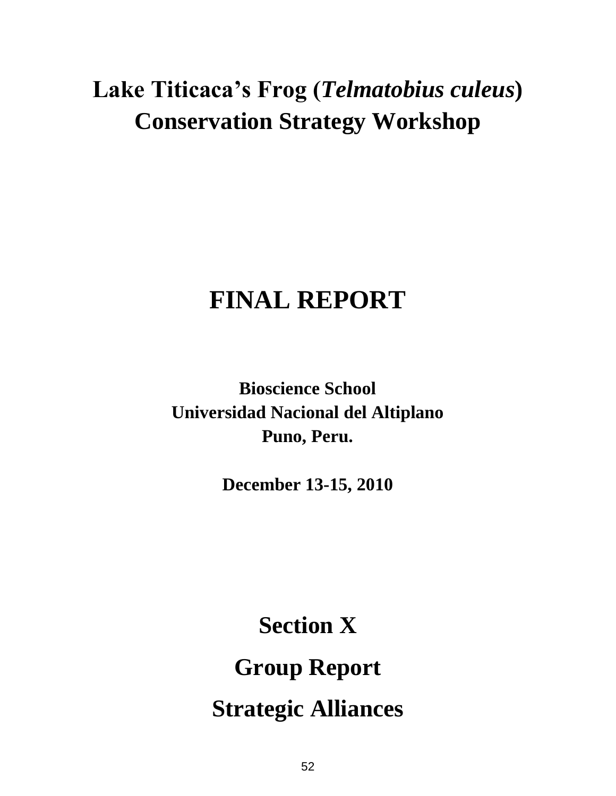# **Lake Titicaca's Frog (***Telmatobius culeus***) Conservation Strategy Workshop**

# **FINAL REPORT**

**Bioscience School Universidad Nacional del Altiplano Puno, Peru.**

**December 13-15, 2010**

**Section X Group Report Strategic Alliances**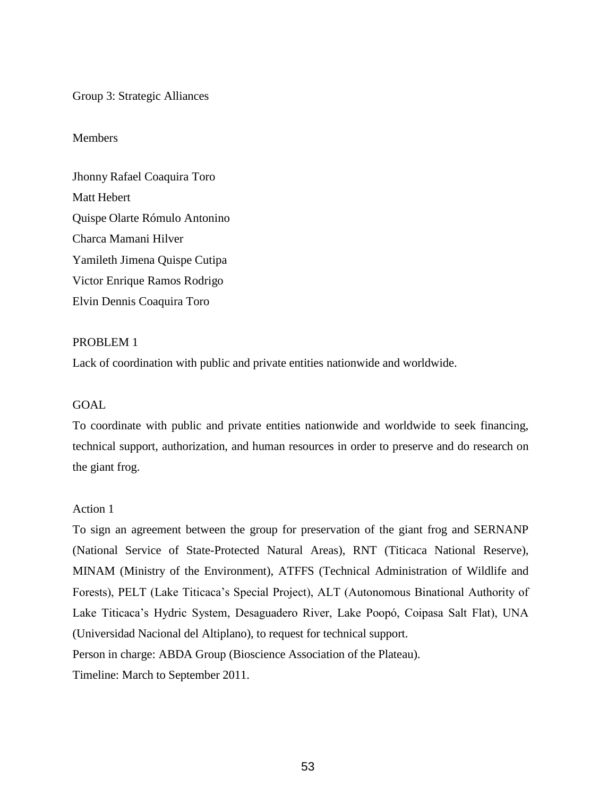Group 3: Strategic Alliances

#### Members

Jhonny Rafael Coaquira Toro Matt Hebert Quispe Olarte Rómulo Antonino Charca Mamani Hilver Yamileth Jimena Quispe Cutipa Victor Enrique Ramos Rodrigo Elvin Dennis Coaquira Toro

#### PROBLEM 1

Lack of coordination with public and private entities nationwide and worldwide.

#### GOAL

To coordinate with public and private entities nationwide and worldwide to seek financing, technical support, authorization, and human resources in order to preserve and do research on the giant frog.

#### Action 1

To sign an agreement between the group for preservation of the giant frog and SERNANP (National Service of State-Protected Natural Areas), RNT (Titicaca National Reserve), MINAM (Ministry of the Environment), ATFFS (Technical Administration of Wildlife and Forests), PELT (Lake Titicaca's Special Project), ALT (Autonomous Binational Authority of Lake Titicaca's Hydric System, Desaguadero River, Lake Poopó, Coipasa Salt Flat), UNA (Universidad Nacional del Altiplano), to request for technical support. Person in charge: ABDA Group (Bioscience Association of the Plateau).

Timeline: March to September 2011.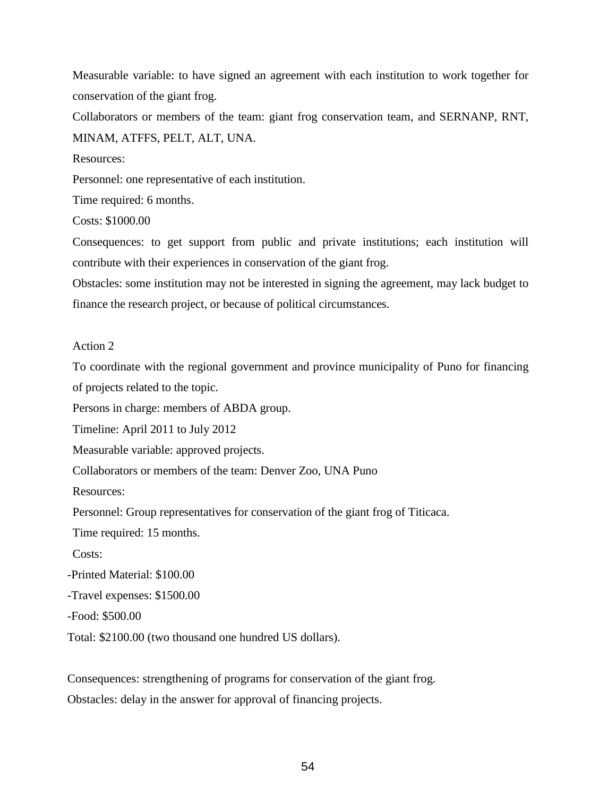Measurable variable: to have signed an agreement with each institution to work together for conservation of the giant frog.

Collaborators or members of the team: giant frog conservation team, and SERNANP, RNT, MINAM, ATFFS, PELT, ALT, UNA.

Resources:

Personnel: one representative of each institution.

Time required: 6 months.

Costs: \$1000.00

Consequences: to get support from public and private institutions; each institution will contribute with their experiences in conservation of the giant frog.

Obstacles: some institution may not be interested in signing the agreement, may lack budget to finance the research project, or because of political circumstances.

#### Action 2

To coordinate with the regional government and province municipality of Puno for financing of projects related to the topic.

Persons in charge: members of ABDA group.

Timeline: April 2011 to July 2012

Measurable variable: approved projects.

Collaborators or members of the team: Denver Zoo, UNA Puno

Resources:

Personnel: Group representatives for conservation of the giant frog of Titicaca.

Time required: 15 months.

Costs:

-Printed Material: \$100.00

-Travel expenses: \$1500.00

-Food: \$500.00

Total: \$2100.00 (two thousand one hundred US dollars).

Consequences: strengthening of programs for conservation of the giant frog. Obstacles: delay in the answer for approval of financing projects.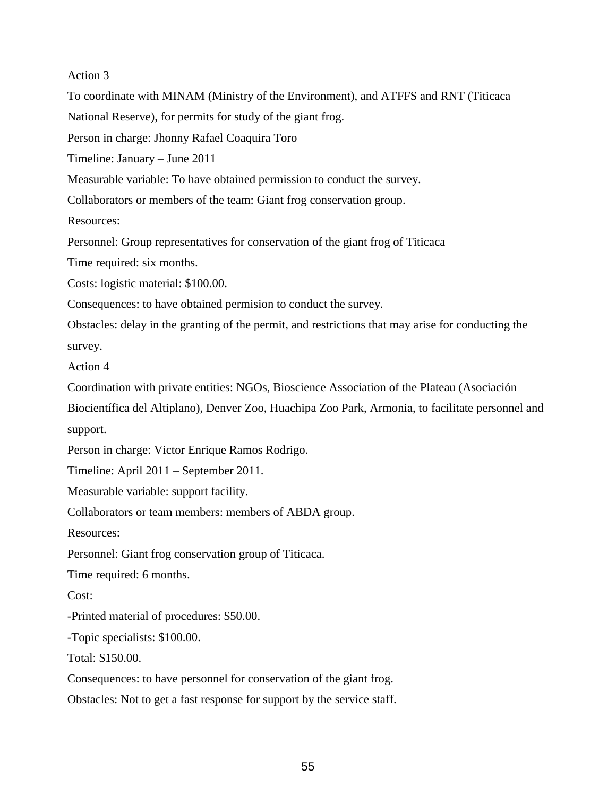Action 3 To coordinate with MINAM (Ministry of the Environment), and ATFFS and RNT (Titicaca National Reserve), for permits for study of the giant frog. Person in charge: Jhonny Rafael Coaquira Toro Timeline: January – June 2011 Measurable variable: To have obtained permission to conduct the survey. Collaborators or members of the team: Giant frog conservation group. Resources: Personnel: Group representatives for conservation of the giant frog of Titicaca Time required: six months. Costs: logistic material: \$100.00. Consequences: to have obtained permision to conduct the survey. Obstacles: delay in the granting of the permit, and restrictions that may arise for conducting the survey. Action 4 Coordination with private entities: NGOs, Bioscience Association of the Plateau (Asociación Biocientífica del Altiplano), Denver Zoo, Huachipa Zoo Park, Armonia, to facilitate personnel and support. Person in charge: Victor Enrique Ramos Rodrigo. Timeline: April 2011 – September 2011. Measurable variable: support facility. Collaborators or team members: members of ABDA group. Resources: Personnel: Giant frog conservation group of Titicaca. Time required: 6 months. Cost: -Printed material of procedures: \$50.00. -Topic specialists: \$100.00. Total: \$150.00.

Consequences: to have personnel for conservation of the giant frog.

Obstacles: Not to get a fast response for support by the service staff.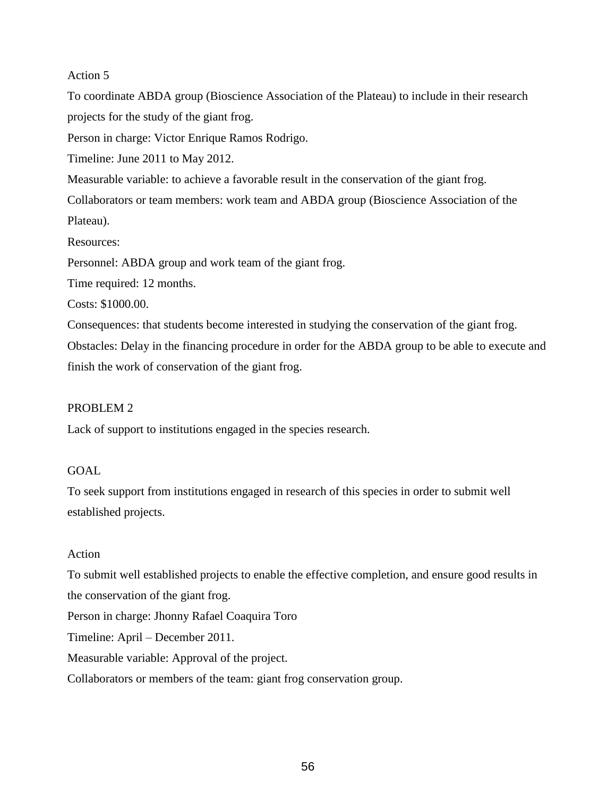To coordinate ABDA group (Bioscience Association of the Plateau) to include in their research projects for the study of the giant frog.

Person in charge: Victor Enrique Ramos Rodrigo.

Timeline: June 2011 to May 2012.

Measurable variable: to achieve a favorable result in the conservation of the giant frog.

Collaborators or team members: work team and ABDA group (Bioscience Association of the Plateau).

Resources:

Personnel: ABDA group and work team of the giant frog.

Time required: 12 months.

Costs: \$1000.00.

Consequences: that students become interested in studying the conservation of the giant frog.

Obstacles: Delay in the financing procedure in order for the ABDA group to be able to execute and finish the work of conservation of the giant frog.

# PROBLEM 2

Lack of support to institutions engaged in the species research.

# GOAL

To seek support from institutions engaged in research of this species in order to submit well established projects.

# Action

To submit well established projects to enable the effective completion, and ensure good results in the conservation of the giant frog. Person in charge: Jhonny Rafael Coaquira Toro Timeline: April – December 2011. Measurable variable: Approval of the project. Collaborators or members of the team: giant frog conservation group.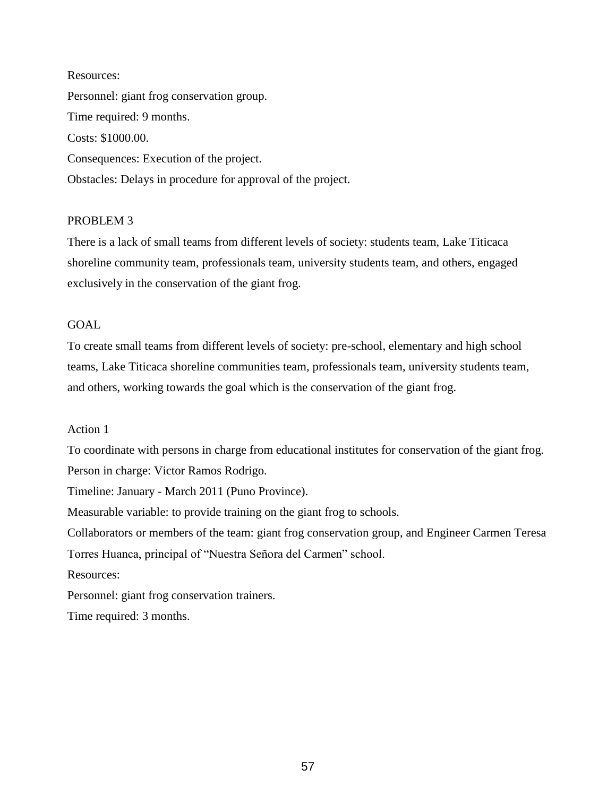Resources: Personnel: giant frog conservation group. Time required: 9 months. Costs: \$1000.00. Consequences: Execution of the project. Obstacles: Delays in procedure for approval of the project.

# PROBLEM 3

There is a lack of small teams from different levels of society: students team, Lake Titicaca shoreline community team, professionals team, university students team, and others, engaged exclusively in the conservation of the giant frog.

# GOAL

To create small teams from different levels of society: pre-school, elementary and high school teams, Lake Titicaca shoreline communities team, professionals team, university students team, and others, working towards the goal which is the conservation of the giant frog.

# Action 1

To coordinate with persons in charge from educational institutes for conservation of the giant frog. Person in charge: Victor Ramos Rodrigo. Timeline: January - March 2011 (Puno Province). Measurable variable: to provide training on the giant frog to schools.

Collaborators or members of the team: giant frog conservation group, and Engineer Carmen Teresa

Torres Huanca, principal of "Nuestra Señora del Carmen" school.

Resources:

Personnel: giant frog conservation trainers.

Time required: 3 months.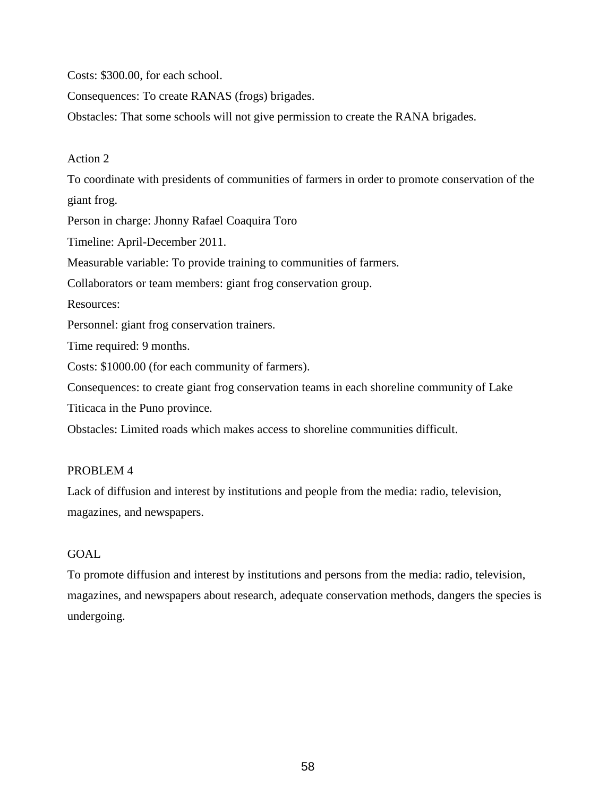Costs: \$300.00, for each school.

Consequences: To create RANAS (frogs) brigades.

Obstacles: That some schools will not give permission to create the RANA brigades.

# Action 2

To coordinate with presidents of communities of farmers in order to promote conservation of the giant frog. Person in charge: Jhonny Rafael Coaquira Toro Timeline: April-December 2011. Measurable variable: To provide training to communities of farmers. Collaborators or team members: giant frog conservation group. Resources: Personnel: giant frog conservation trainers. Time required: 9 months. Costs: \$1000.00 (for each community of farmers). Consequences: to create giant frog conservation teams in each shoreline community of Lake Titicaca in the Puno province. Obstacles: Limited roads which makes access to shoreline communities difficult.

# PROBLEM 4

Lack of diffusion and interest by institutions and people from the media: radio, television, magazines, and newspapers.

# GOAL

To promote diffusion and interest by institutions and persons from the media: radio, television, magazines, and newspapers about research, adequate conservation methods, dangers the species is undergoing.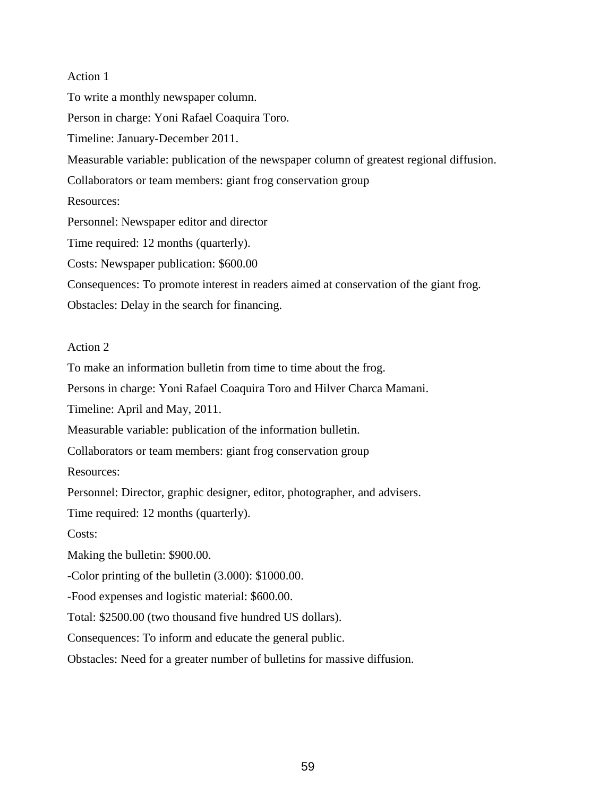To write a monthly newspaper column.

Person in charge: Yoni Rafael Coaquira Toro.

Timeline: January-December 2011.

Measurable variable: publication of the newspaper column of greatest regional diffusion.

Collaborators or team members: giant frog conservation group

Resources:

Personnel: Newspaper editor and director

Time required: 12 months (quarterly).

Costs: Newspaper publication: \$600.00

Consequences: To promote interest in readers aimed at conservation of the giant frog.

Obstacles: Delay in the search for financing.

#### Action 2

To make an information bulletin from time to time about the frog.

Persons in charge: Yoni Rafael Coaquira Toro and Hilver Charca Mamani.

Timeline: April and May, 2011.

Measurable variable: publication of the information bulletin.

Collaborators or team members: giant frog conservation group

Resources:

Personnel: Director, graphic designer, editor, photographer, and advisers.

Time required: 12 months (quarterly).

Costs:

Making the bulletin: \$900.00.

-Color printing of the bulletin (3.000): \$1000.00.

-Food expenses and logistic material: \$600.00.

Total: \$2500.00 (two thousand five hundred US dollars).

Consequences: To inform and educate the general public.

Obstacles: Need for a greater number of bulletins for massive diffusion.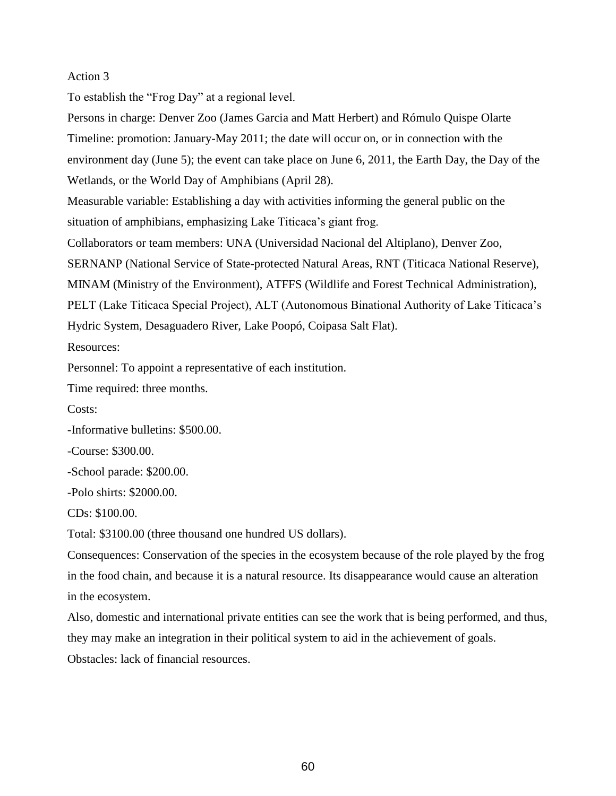To establish the "Frog Day" at a regional level.

Persons in charge: Denver Zoo (James Garcia and Matt Herbert) and Rómulo Quispe Olarte Timeline: promotion: January-May 2011; the date will occur on, or in connection with the environment day (June 5); the event can take place on June 6, 2011, the Earth Day, the Day of the Wetlands, or the World Day of Amphibians (April 28). Measurable variable: Establishing a day with activities informing the general public on the situation of amphibians, emphasizing Lake Titicaca's giant frog. Collaborators or team members: UNA (Universidad Nacional del Altiplano), Denver Zoo, SERNANP (National Service of State-protected Natural Areas, RNT (Titicaca National Reserve), MINAM (Ministry of the Environment), ATFFS (Wildlife and Forest Technical Administration), PELT (Lake Titicaca Special Project), ALT (Autonomous Binational Authority of Lake Titicaca's Hydric System, Desaguadero River, Lake Poopó, Coipasa Salt Flat). Resources: Personnel: To appoint a representative of each institution. Time required: three months. Costs:

-Informative bulletins: \$500.00.

-Course: \$300.00.

-School parade: \$200.00.

-Polo shirts: \$2000.00.

CDs: \$100.00.

Total: \$3100.00 (three thousand one hundred US dollars).

Consequences: Conservation of the species in the ecosystem because of the role played by the frog in the food chain, and because it is a natural resource. Its disappearance would cause an alteration in the ecosystem.

Also, domestic and international private entities can see the work that is being performed, and thus, they may make an integration in their political system to aid in the achievement of goals. Obstacles: lack of financial resources.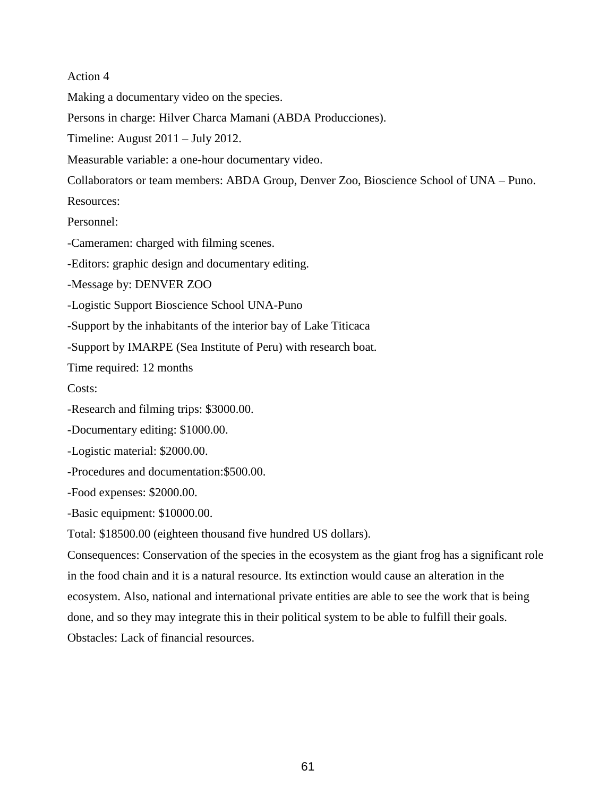Making a documentary video on the species.

Persons in charge: Hilver Charca Mamani (ABDA Producciones).

Timeline: August 2011 – July 2012.

Measurable variable: a one-hour documentary video.

Collaborators or team members: ABDA Group, Denver Zoo, Bioscience School of UNA – Puno.

Resources:

Personnel:

-Cameramen: charged with filming scenes.

-Editors: graphic design and documentary editing.

-Message by: DENVER ZOO

-Logistic Support Bioscience School UNA-Puno

-Support by the inhabitants of the interior bay of Lake Titicaca

-Support by IMARPE (Sea Institute of Peru) with research boat.

Time required: 12 months

Costs:

-Research and filming trips: \$3000.00.

-Documentary editing: \$1000.00.

-Logistic material: \$2000.00.

-Procedures and documentation:\$500.00.

-Food expenses: \$2000.00.

-Basic equipment: \$10000.00.

Total: \$18500.00 (eighteen thousand five hundred US dollars).

Consequences: Conservation of the species in the ecosystem as the giant frog has a significant role in the food chain and it is a natural resource. Its extinction would cause an alteration in the ecosystem. Also, national and international private entities are able to see the work that is being done, and so they may integrate this in their political system to be able to fulfill their goals. Obstacles: Lack of financial resources.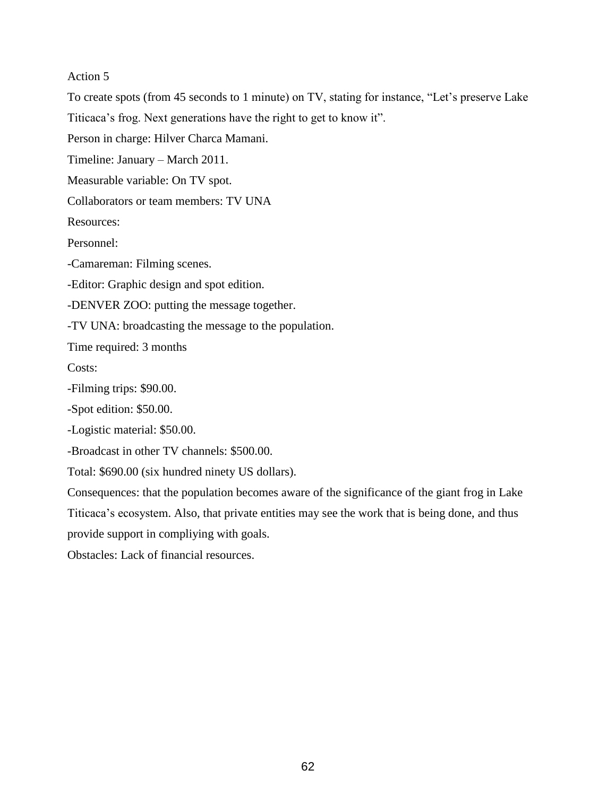To create spots (from 45 seconds to 1 minute) on TV, stating for instance, "Let's preserve Lake

Titicaca's frog. Next generations have the right to get to know it".

Person in charge: Hilver Charca Mamani.

Timeline: January – March 2011.

Measurable variable: On TV spot.

Collaborators or team members: TV UNA

Resources:

Personnel:

-Camareman: Filming scenes.

-Editor: Graphic design and spot edition.

-DENVER ZOO: putting the message together.

-TV UNA: broadcasting the message to the population.

Time required: 3 months

Costs:

-Filming trips: \$90.00.

-Spot edition: \$50.00.

-Logistic material: \$50.00.

-Broadcast in other TV channels: \$500.00.

Total: \$690.00 (six hundred ninety US dollars).

Consequences: that the population becomes aware of the significance of the giant frog in Lake Titicaca's ecosystem. Also, that private entities may see the work that is being done, and thus provide support in compliying with goals.

Obstacles: Lack of financial resources.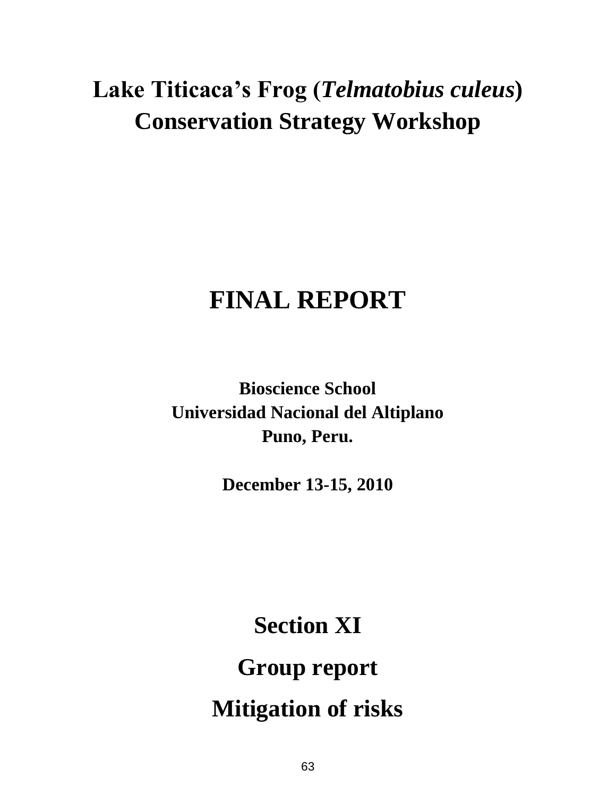# **Lake Titicaca's Frog (***Telmatobius culeus***) Conservation Strategy Workshop**

# **FINAL REPORT**

**Bioscience School Universidad Nacional del Altiplano Puno, Peru.**

**December 13-15, 2010**

**Section XI Group report Mitigation of risks**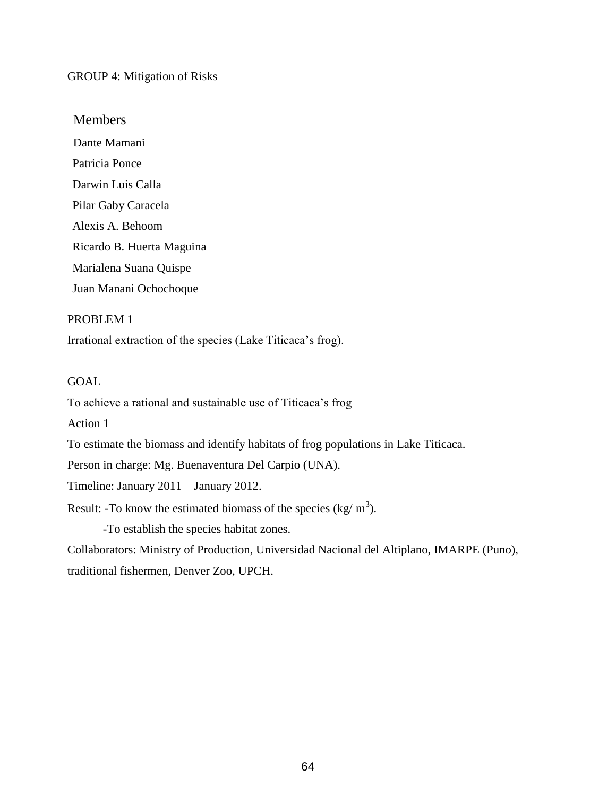# GROUP 4: Mitigation of Risks

# Members

Dante Mamani Patricia Ponce Darwin Luis Calla Pilar Gaby Caracela Alexis A. Behoom Ricardo B. Huerta Maguina Marialena Suana Quispe Juan Manani Ochochoque

#### PROBLEM 1

Irrational extraction of the species (Lake Titicaca's frog).

# **GOAL**

To achieve a rational and sustainable use of Titicaca's frog

Action 1

To estimate the biomass and identify habitats of frog populations in Lake Titicaca.

Person in charge: Mg. Buenaventura Del Carpio (UNA).

Timeline: January 2011 – January 2012.

Result: -To know the estimated biomass of the species (kg/  $m<sup>3</sup>$ ).

-To establish the species habitat zones.

Collaborators: Ministry of Production, Universidad Nacional del Altiplano, IMARPE (Puno), traditional fishermen, Denver Zoo, UPCH.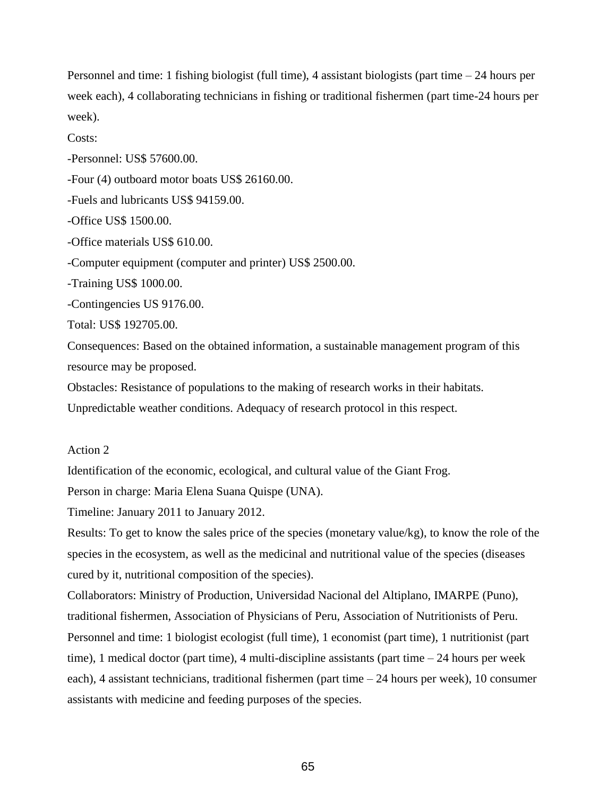Personnel and time: 1 fishing biologist (full time), 4 assistant biologists (part time – 24 hours per week each), 4 collaborating technicians in fishing or traditional fishermen (part time-24 hours per week).

Costs:

-Personnel: US\$ 57600.00.

-Four (4) outboard motor boats US\$ 26160.00.

-Fuels and lubricants US\$ 94159.00.

-Office US\$ 1500.00.

-Office materials US\$ 610.00.

-Computer equipment (computer and printer) US\$ 2500.00.

-Training US\$ 1000.00.

-Contingencies US 9176.00.

Total: US\$ 192705.00.

Consequences: Based on the obtained information, a sustainable management program of this resource may be proposed.

Obstacles: Resistance of populations to the making of research works in their habitats.

Unpredictable weather conditions. Adequacy of research protocol in this respect.

# Action 2

Identification of the economic, ecological, and cultural value of the Giant Frog.

Person in charge: Maria Elena Suana Quispe (UNA).

Timeline: January 2011 to January 2012.

Results: To get to know the sales price of the species (monetary value/kg), to know the role of the species in the ecosystem, as well as the medicinal and nutritional value of the species (diseases cured by it, nutritional composition of the species).

Collaborators: Ministry of Production, Universidad Nacional del Altiplano, IMARPE (Puno), traditional fishermen, Association of Physicians of Peru, Association of Nutritionists of Peru. Personnel and time: 1 biologist ecologist (full time), 1 economist (part time), 1 nutritionist (part time), 1 medical doctor (part time), 4 multi-discipline assistants (part time  $-24$  hours per week each), 4 assistant technicians, traditional fishermen (part time – 24 hours per week), 10 consumer assistants with medicine and feeding purposes of the species.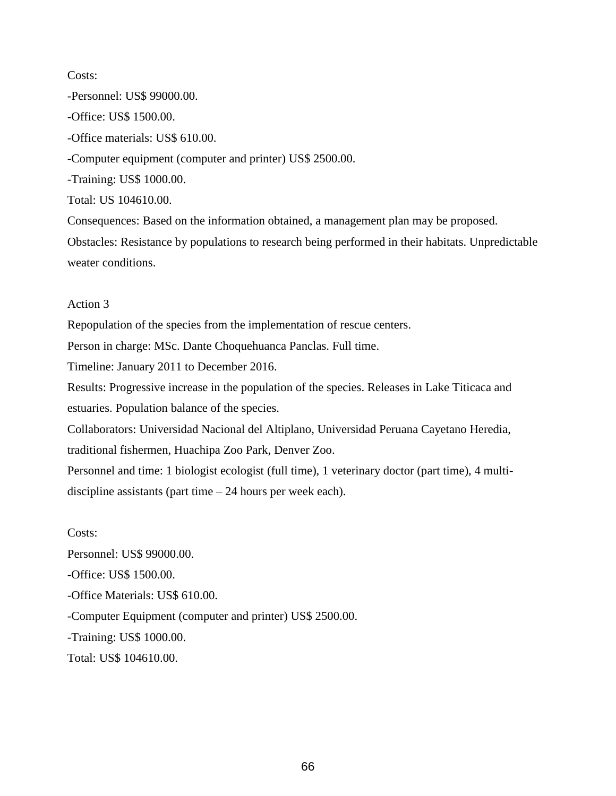Costs: -Personnel: US\$ 99000.00. -Office: US\$ 1500.00. -Office materials: US\$ 610.00. -Computer equipment (computer and printer) US\$ 2500.00. -Training: US\$ 1000.00. Total: US 104610.00. Consequences: Based on the information obtained, a management plan may be proposed. Obstacles: Resistance by populations to research being performed in their habitats. Unpredictable

weater conditions.

# Action 3

Repopulation of the species from the implementation of rescue centers.

Person in charge: MSc. Dante Choquehuanca Panclas. Full time.

Timeline: January 2011 to December 2016.

Results: Progressive increase in the population of the species. Releases in Lake Titicaca and estuaries. Population balance of the species.

Collaborators: Universidad Nacional del Altiplano, Universidad Peruana Cayetano Heredia,

traditional fishermen, Huachipa Zoo Park, Denver Zoo.

Personnel and time: 1 biologist ecologist (full time), 1 veterinary doctor (part time), 4 multidiscipline assistants (part time  $-24$  hours per week each).

Costs:

Personnel: US\$ 99000.00.

-Office: US\$ 1500.00.

-Office Materials: US\$ 610.00.

-Computer Equipment (computer and printer) US\$ 2500.00.

-Training: US\$ 1000.00.

Total: US\$ 104610.00.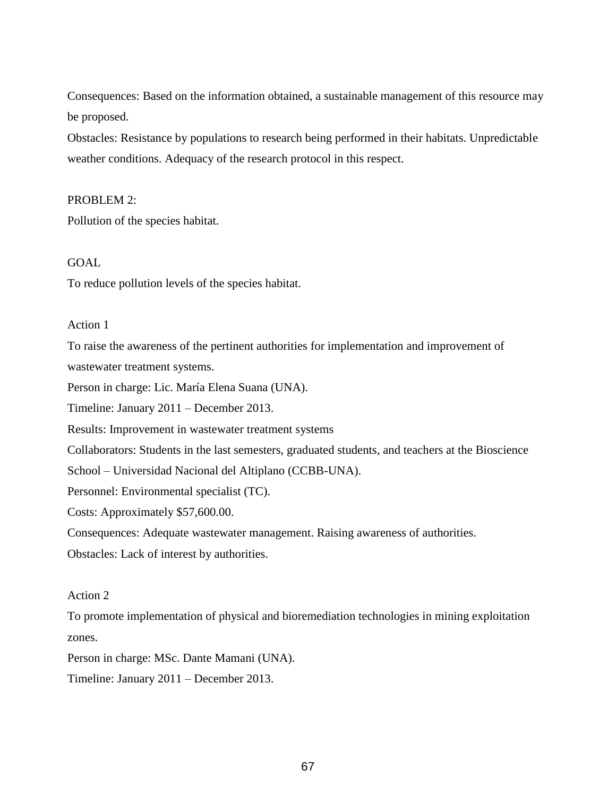Consequences: Based on the information obtained, a sustainable management of this resource may be proposed.

Obstacles: Resistance by populations to research being performed in their habitats. Unpredictable weather conditions. Adequacy of the research protocol in this respect.

#### PROBLEM 2:

Pollution of the species habitat.

## GOAL

To reduce pollution levels of the species habitat.

#### Action 1

To raise the awareness of the pertinent authorities for implementation and improvement of

wastewater treatment systems.

Person in charge: Lic. María Elena Suana (UNA).

Timeline: January 2011 – December 2013.

Results: Improvement in wastewater treatment systems

Collaborators: Students in the last semesters, graduated students, and teachers at the Bioscience

School – Universidad Nacional del Altiplano (CCBB-UNA).

Personnel: Environmental specialist (TC).

Costs: Approximately \$57,600.00.

Consequences: Adequate wastewater management. Raising awareness of authorities.

Obstacles: Lack of interest by authorities.

# Action 2

To promote implementation of physical and bioremediation technologies in mining exploitation zones.

Person in charge: MSc. Dante Mamani (UNA).

Timeline: January 2011 – December 2013.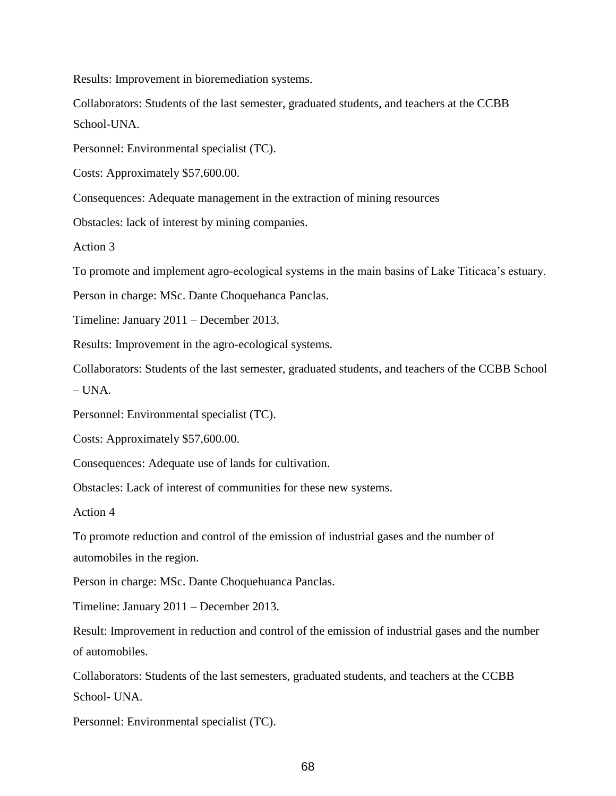Results: Improvement in bioremediation systems.

Collaborators: Students of the last semester, graduated students, and teachers at the CCBB School-UNA.

Personnel: Environmental specialist (TC).

Costs: Approximately \$57,600.00.

Consequences: Adequate management in the extraction of mining resources

Obstacles: lack of interest by mining companies.

Action 3

To promote and implement agro-ecological systems in the main basins of Lake Titicaca's estuary.

Person in charge: MSc. Dante Choquehanca Panclas.

Timeline: January 2011 – December 2013.

Results: Improvement in the agro-ecological systems.

Collaborators: Students of the last semester, graduated students, and teachers of the CCBB School  $-$  UNA.

Personnel: Environmental specialist (TC).

Costs: Approximately \$57,600.00.

Consequences: Adequate use of lands for cultivation.

Obstacles: Lack of interest of communities for these new systems.

Action 4

To promote reduction and control of the emission of industrial gases and the number of automobiles in the region.

Person in charge: MSc. Dante Choquehuanca Panclas.

Timeline: January 2011 – December 2013.

Result: Improvement in reduction and control of the emission of industrial gases and the number of automobiles.

Collaborators: Students of the last semesters, graduated students, and teachers at the CCBB School- UNA.

Personnel: Environmental specialist (TC).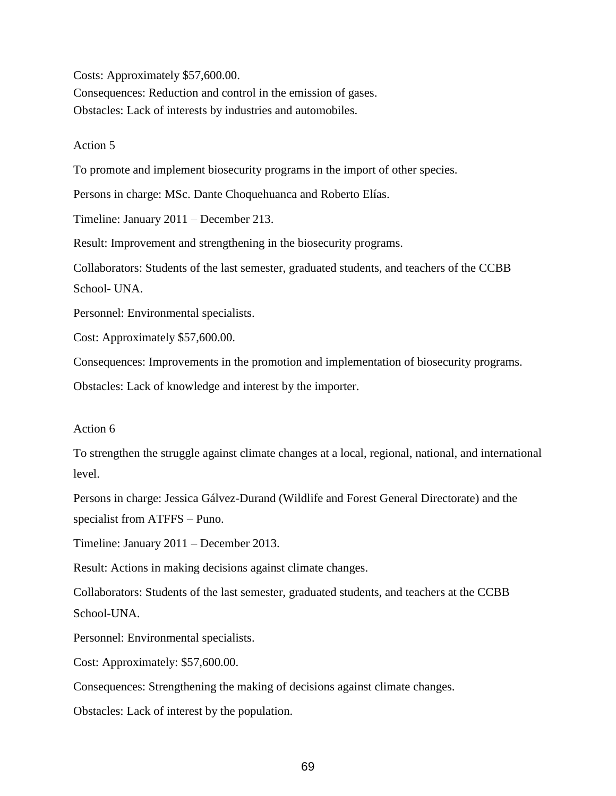Costs: Approximately \$57,600.00.

Consequences: Reduction and control in the emission of gases. Obstacles: Lack of interests by industries and automobiles.

#### Action 5

To promote and implement biosecurity programs in the import of other species.

Persons in charge: MSc. Dante Choquehuanca and Roberto Elías.

Timeline: January 2011 – December 213.

Result: Improvement and strengthening in the biosecurity programs.

Collaborators: Students of the last semester, graduated students, and teachers of the CCBB School- UNA.

Personnel: Environmental specialists.

Cost: Approximately \$57,600.00.

Consequences: Improvements in the promotion and implementation of biosecurity programs.

Obstacles: Lack of knowledge and interest by the importer.

#### Action 6

To strengthen the struggle against climate changes at a local, regional, national, and international level.

Persons in charge: Jessica Gálvez-Durand (Wildlife and Forest General Directorate) and the specialist from ATFFS – Puno.

Timeline: January 2011 – December 2013.

Result: Actions in making decisions against climate changes.

Collaborators: Students of the last semester, graduated students, and teachers at the CCBB School-UNA.

Personnel: Environmental specialists.

Cost: Approximately: \$57,600.00.

Consequences: Strengthening the making of decisions against climate changes.

Obstacles: Lack of interest by the population.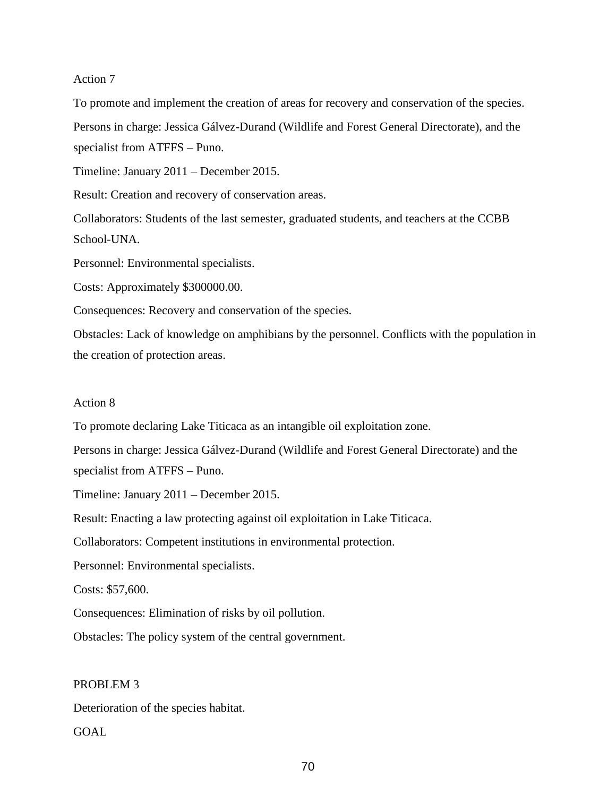To promote and implement the creation of areas for recovery and conservation of the species. Persons in charge: Jessica Gálvez-Durand (Wildlife and Forest General Directorate), and the specialist from ATFFS – Puno.

Timeline: January 2011 – December 2015.

Result: Creation and recovery of conservation areas.

Collaborators: Students of the last semester, graduated students, and teachers at the CCBB School-UNA.

Personnel: Environmental specialists.

Costs: Approximately \$300000.00.

Consequences: Recovery and conservation of the species.

Obstacles: Lack of knowledge on amphibians by the personnel. Conflicts with the population in the creation of protection areas.

#### Action 8

To promote declaring Lake Titicaca as an intangible oil exploitation zone.

Persons in charge: Jessica Gálvez-Durand (Wildlife and Forest General Directorate) and the specialist from ATFFS – Puno.

Timeline: January 2011 – December 2015.

Result: Enacting a law protecting against oil exploitation in Lake Titicaca.

Collaborators: Competent institutions in environmental protection.

Personnel: Environmental specialists.

Costs: \$57,600.

Consequences: Elimination of risks by oil pollution.

Obstacles: The policy system of the central government.

#### PROBLEM 3

Deterioration of the species habitat.

GOAL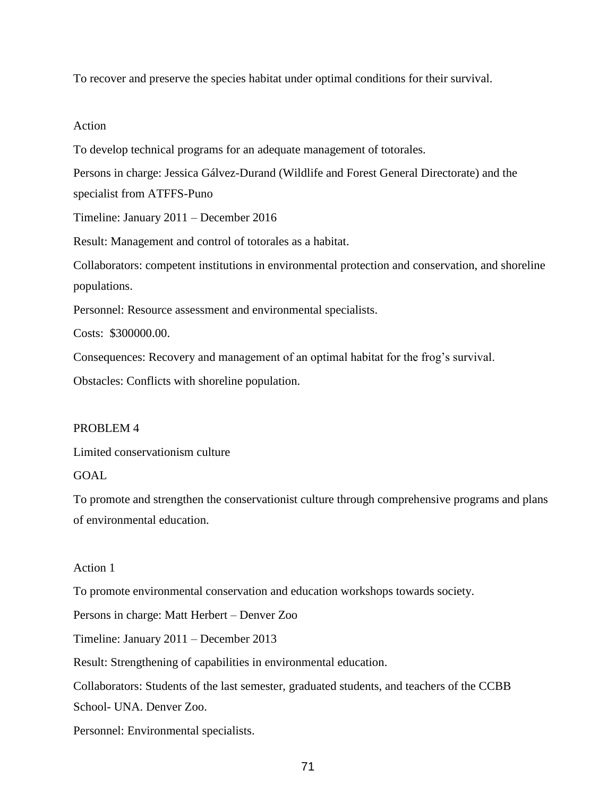To recover and preserve the species habitat under optimal conditions for their survival.

#### Action

To develop technical programs for an adequate management of totorales.

Persons in charge: Jessica Gálvez-Durand (Wildlife and Forest General Directorate) and the specialist from ATFFS-Puno

Timeline: January 2011 – December 2016

Result: Management and control of totorales as a habitat.

Collaborators: competent institutions in environmental protection and conservation, and shoreline populations.

Personnel: Resource assessment and environmental specialists.

Costs: \$300000.00.

Consequences: Recovery and management of an optimal habitat for the frog's survival.

Obstacles: Conflicts with shoreline population.

#### PROBLEM 4

Limited conservationism culture

# GOAL

To promote and strengthen the conservationist culture through comprehensive programs and plans of environmental education.

#### Action 1

To promote environmental conservation and education workshops towards society.

Persons in charge: Matt Herbert – Denver Zoo

Timeline: January 2011 – December 2013

Result: Strengthening of capabilities in environmental education.

Collaborators: Students of the last semester, graduated students, and teachers of the CCBB

School- UNA. Denver Zoo.

Personnel: Environmental specialists.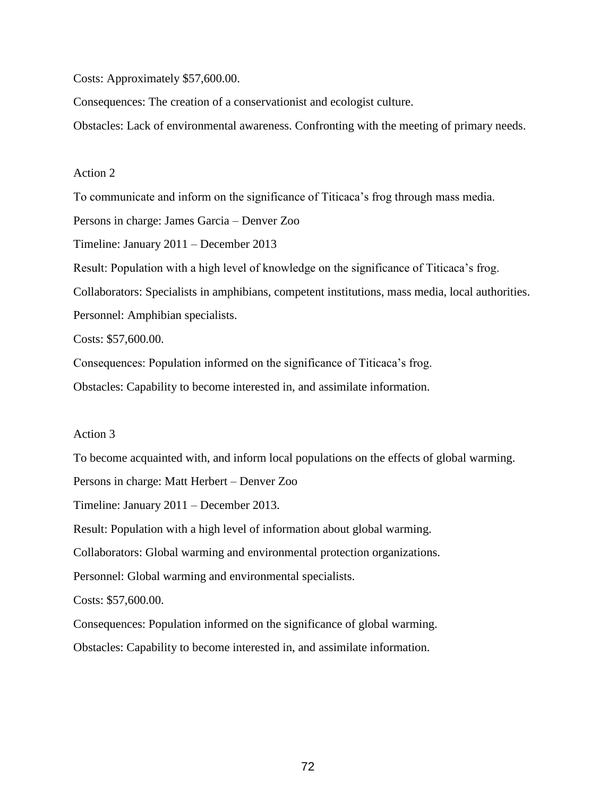Costs: Approximately \$57,600.00.

Consequences: The creation of a conservationist and ecologist culture.

Obstacles: Lack of environmental awareness. Confronting with the meeting of primary needs.

#### Action 2

To communicate and inform on the significance of Titicaca's frog through mass media. Persons in charge: James Garcia – Denver Zoo Timeline: January 2011 – December 2013 Result: Population with a high level of knowledge on the significance of Titicaca's frog.

Collaborators: Specialists in amphibians, competent institutions, mass media, local authorities.

Personnel: Amphibian specialists.

Costs: \$57,600.00.

Consequences: Population informed on the significance of Titicaca's frog.

Obstacles: Capability to become interested in, and assimilate information.

#### Action 3

To become acquainted with, and inform local populations on the effects of global warming. Persons in charge: Matt Herbert – Denver Zoo Timeline: January 2011 – December 2013. Result: Population with a high level of information about global warming. Collaborators: Global warming and environmental protection organizations. Personnel: Global warming and environmental specialists. Costs: \$57,600.00. Consequences: Population informed on the significance of global warming.

Obstacles: Capability to become interested in, and assimilate information.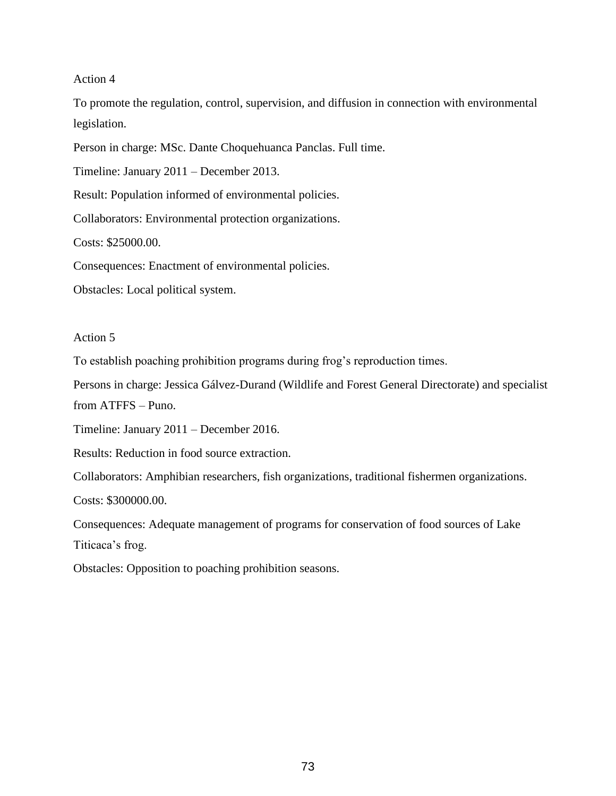To promote the regulation, control, supervision, and diffusion in connection with environmental legislation.

Person in charge: MSc. Dante Choquehuanca Panclas. Full time.

Timeline: January 2011 – December 2013.

Result: Population informed of environmental policies.

Collaborators: Environmental protection organizations.

Costs: \$25000.00.

Consequences: Enactment of environmental policies.

Obstacles: Local political system.

#### Action 5

To establish poaching prohibition programs during frog's reproduction times.

Persons in charge: Jessica Gálvez-Durand (Wildlife and Forest General Directorate) and specialist from ATFFS – Puno.

Timeline: January 2011 – December 2016.

Results: Reduction in food source extraction.

Collaborators: Amphibian researchers, fish organizations, traditional fishermen organizations.

Costs: \$300000.00.

Consequences: Adequate management of programs for conservation of food sources of Lake Titicaca's frog.

Obstacles: Opposition to poaching prohibition seasons.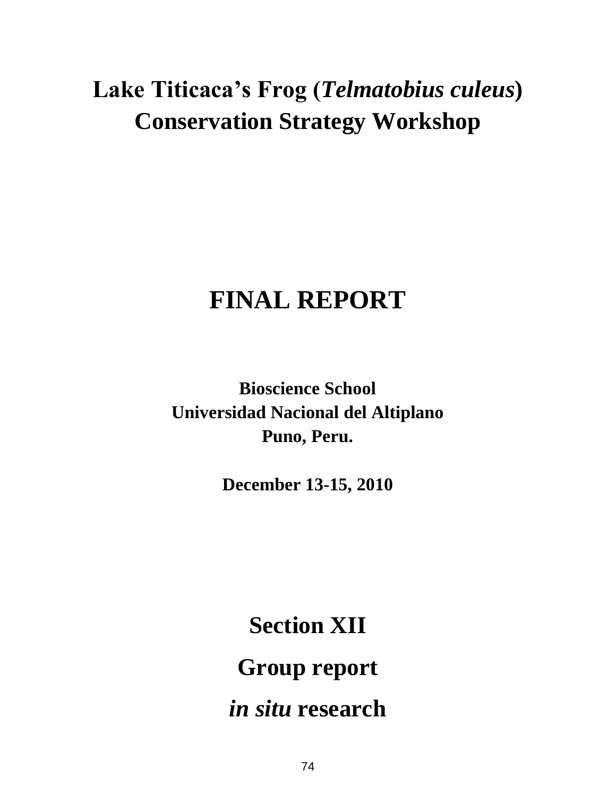# **Lake Titicaca's Frog (***Telmatobius culeus***) Conservation Strategy Workshop**

# **FINAL REPORT**

**Bioscience School Universidad Nacional del Altiplano Puno, Peru.**

**December 13-15, 2010**

**Section XII Group report** *in situ* **research**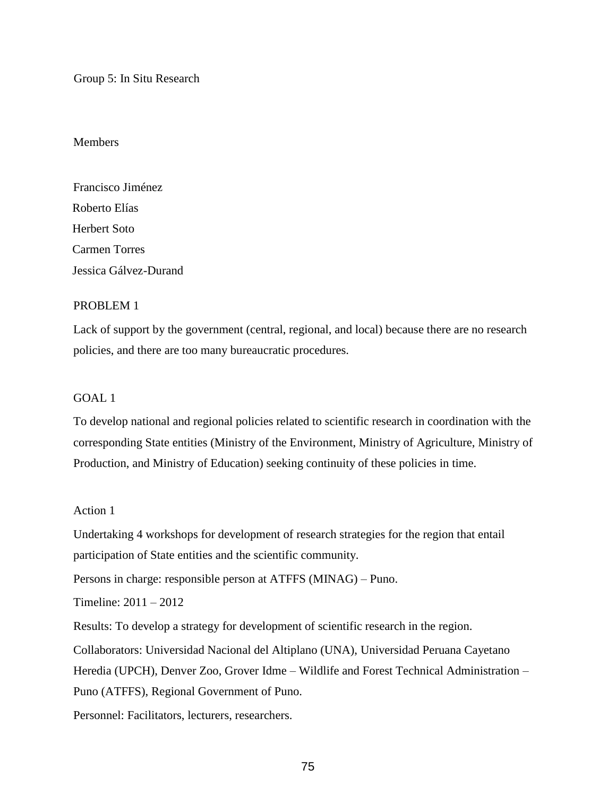Group 5: In Situ Research

### Members

Francisco Jiménez Roberto Elías Herbert Soto Carmen Torres Jessica Gálvez-Durand

## PROBLEM 1

Lack of support by the government (central, regional, and local) because there are no research policies, and there are too many bureaucratic procedures.

## GOAL 1

To develop national and regional policies related to scientific research in coordination with the corresponding State entities (Ministry of the Environment, Ministry of Agriculture, Ministry of Production, and Ministry of Education) seeking continuity of these policies in time.

## Action 1

Undertaking 4 workshops for development of research strategies for the region that entail participation of State entities and the scientific community.

Persons in charge: responsible person at ATFFS (MINAG) – Puno.

Timeline: 2011 – 2012

Results: To develop a strategy for development of scientific research in the region.

Collaborators: Universidad Nacional del Altiplano (UNA), Universidad Peruana Cayetano

Heredia (UPCH), Denver Zoo, Grover Idme – Wildlife and Forest Technical Administration –

Puno (ATFFS), Regional Government of Puno.

Personnel: Facilitators, lecturers, researchers.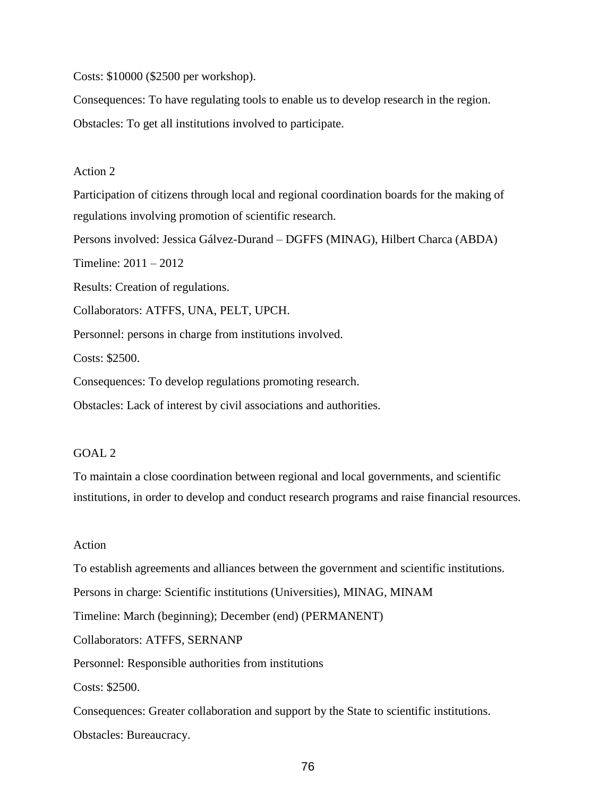Costs: \$10000 (\$2500 per workshop).

Consequences: To have regulating tools to enable us to develop research in the region.

Obstacles: To get all institutions involved to participate.

#### Action 2

Participation of citizens through local and regional coordination boards for the making of regulations involving promotion of scientific research.

Persons involved: Jessica Gálvez-Durand – DGFFS (MINAG), Hilbert Charca (ABDA)

Timeline: 2011 – 2012

Results: Creation of regulations.

Collaborators: ATFFS, UNA, PELT, UPCH.

Personnel: persons in charge from institutions involved.

Costs: \$2500.

Consequences: To develop regulations promoting research.

Obstacles: Lack of interest by civil associations and authorities.

#### GOAL 2

To maintain a close coordination between regional and local governments, and scientific institutions, in order to develop and conduct research programs and raise financial resources.

#### Action

To establish agreements and alliances between the government and scientific institutions.

Persons in charge: Scientific institutions (Universities), MINAG, MINAM

Timeline: March (beginning); December (end) (PERMANENT)

Collaborators: ATFFS, SERNANP

Personnel: Responsible authorities from institutions

Costs: \$2500.

Consequences: Greater collaboration and support by the State to scientific institutions.

Obstacles: Bureaucracy.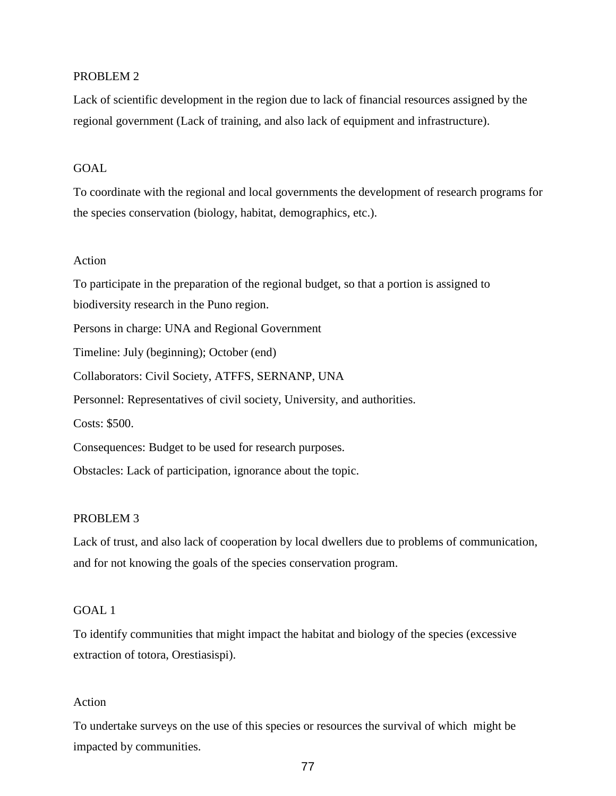### PROBLEM 2

Lack of scientific development in the region due to lack of financial resources assigned by the regional government (Lack of training, and also lack of equipment and infrastructure).

# GOAL

To coordinate with the regional and local governments the development of research programs for the species conservation (biology, habitat, demographics, etc.).

## Action

To participate in the preparation of the regional budget, so that a portion is assigned to biodiversity research in the Puno region. Persons in charge: UNA and Regional Government Timeline: July (beginning); October (end) Collaborators: Civil Society, ATFFS, SERNANP, UNA Personnel: Representatives of civil society, University, and authorities. Costs: \$500. Consequences: Budget to be used for research purposes. Obstacles: Lack of participation, ignorance about the topic.

#### PROBLEM 3

Lack of trust, and also lack of cooperation by local dwellers due to problems of communication, and for not knowing the goals of the species conservation program.

### GOAL 1

To identify communities that might impact the habitat and biology of the species (excessive extraction of totora, Orestiasispi).

### Action

To undertake surveys on the use of this species or resources the survival of which might be impacted by communities.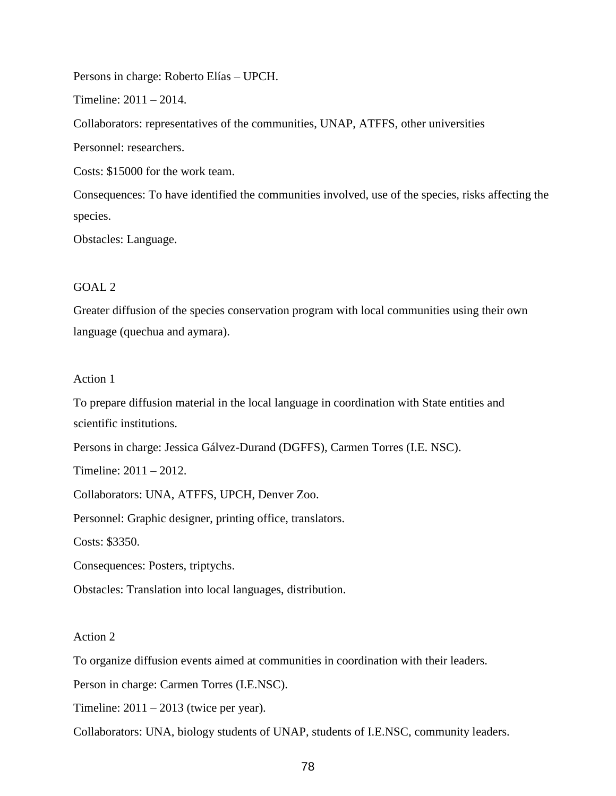Persons in charge: Roberto Elías – UPCH.

Timeline: 2011 – 2014.

Collaborators: representatives of the communities, UNAP, ATFFS, other universities

Personnel: researchers.

Costs: \$15000 for the work team.

Consequences: To have identified the communities involved, use of the species, risks affecting the species.

Obstacles: Language.

### $GOAL 2$

Greater diffusion of the species conservation program with local communities using their own language (quechua and aymara).

### Action 1

To prepare diffusion material in the local language in coordination with State entities and scientific institutions.

Persons in charge: Jessica Gálvez-Durand (DGFFS), Carmen Torres (I.E. NSC).

Timeline: 2011 – 2012.

Collaborators: UNA, ATFFS, UPCH, Denver Zoo.

Personnel: Graphic designer, printing office, translators.

Costs: \$3350.

Consequences: Posters, triptychs.

Obstacles: Translation into local languages, distribution.

### Action 2

To organize diffusion events aimed at communities in coordination with their leaders.

Person in charge: Carmen Torres (I.E.NSC).

Timeline:  $2011 - 2013$  (twice per year).

Collaborators: UNA, biology students of UNAP, students of I.E.NSC, community leaders.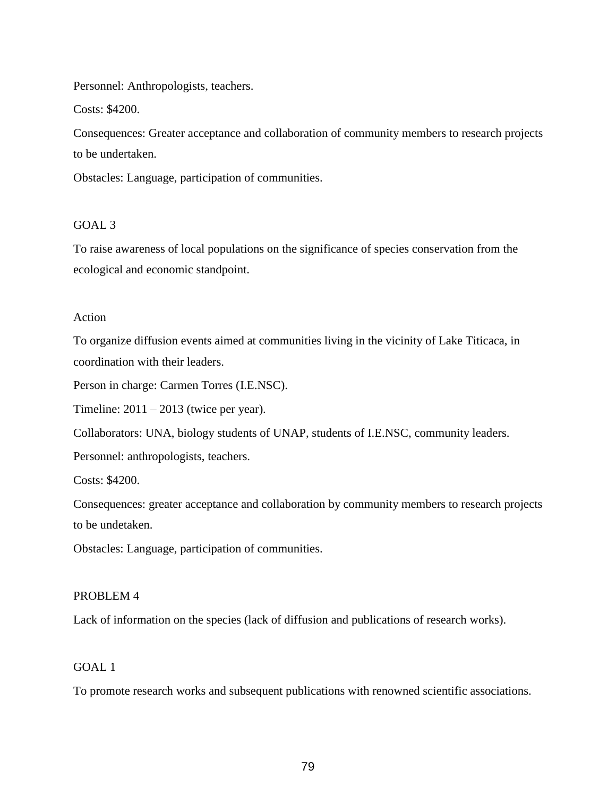Personnel: Anthropologists, teachers.

Costs: \$4200.

Consequences: Greater acceptance and collaboration of community members to research projects to be undertaken.

Obstacles: Language, participation of communities.

# GOAL 3

To raise awareness of local populations on the significance of species conservation from the ecological and economic standpoint.

# Action

To organize diffusion events aimed at communities living in the vicinity of Lake Titicaca, in coordination with their leaders.

Person in charge: Carmen Torres (I.E.NSC).

Timeline:  $2011 - 2013$  (twice per year).

Collaborators: UNA, biology students of UNAP, students of I.E.NSC, community leaders.

Personnel: anthropologists, teachers.

Costs: \$4200.

Consequences: greater acceptance and collaboration by community members to research projects to be undetaken.

Obstacles: Language, participation of communities.

# PROBLEM 4

Lack of information on the species (lack of diffusion and publications of research works).

# GOAL 1

To promote research works and subsequent publications with renowned scientific associations.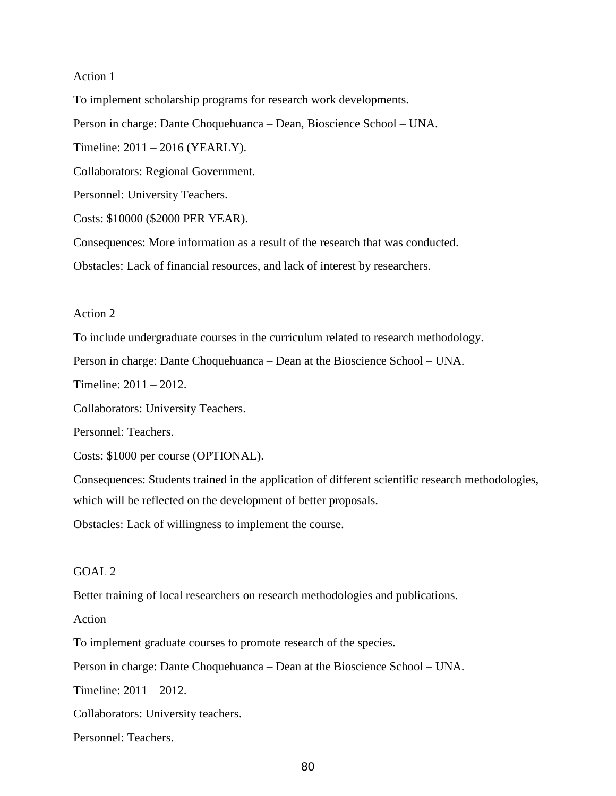### Action 1

To implement scholarship programs for research work developments. Person in charge: Dante Choquehuanca – Dean, Bioscience School – UNA. Timeline: 2011 – 2016 (YEARLY). Collaborators: Regional Government. Personnel: University Teachers. Costs: \$10000 (\$2000 PER YEAR). Consequences: More information as a result of the research that was conducted.

Obstacles: Lack of financial resources, and lack of interest by researchers.

#### Action 2

To include undergraduate courses in the curriculum related to research methodology.

Person in charge: Dante Choquehuanca – Dean at the Bioscience School – UNA.

Timeline: 2011 – 2012.

Collaborators: University Teachers.

Personnel: Teachers.

Costs: \$1000 per course (OPTIONAL).

Consequences: Students trained in the application of different scientific research methodologies, which will be reflected on the development of better proposals.

Obstacles: Lack of willingness to implement the course.

# GOAL 2

Better training of local researchers on research methodologies and publications.

Action

To implement graduate courses to promote research of the species.

Person in charge: Dante Choquehuanca – Dean at the Bioscience School – UNA.

Timeline: 2011 – 2012.

Collaborators: University teachers.

Personnel: Teachers.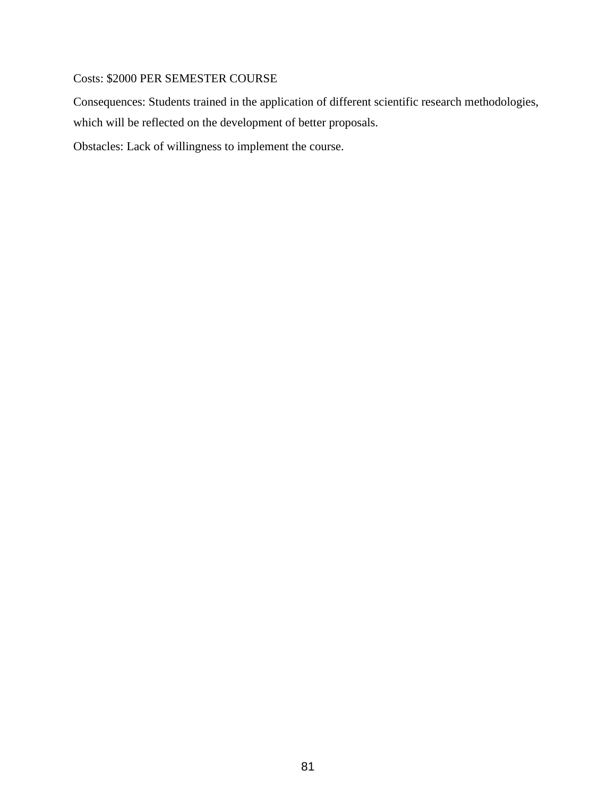# Costs: \$2000 PER SEMESTER COURSE

Consequences: Students trained in the application of different scientific research methodologies, which will be reflected on the development of better proposals.

Obstacles: Lack of willingness to implement the course.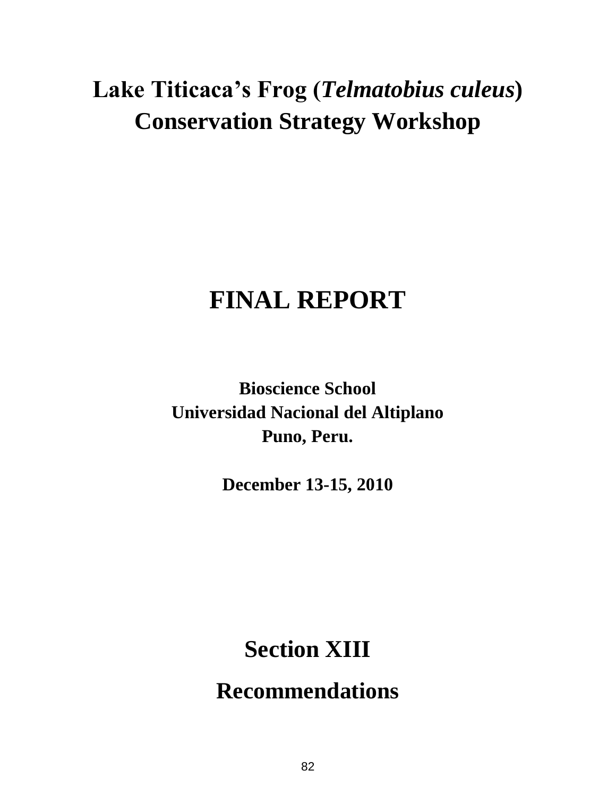# **Lake Titicaca's Frog (***Telmatobius culeus***) Conservation Strategy Workshop**

# **FINAL REPORT**

**Bioscience School Universidad Nacional del Altiplano Puno, Peru.**

**December 13-15, 2010**

# **Section XIII**

**Recommendations**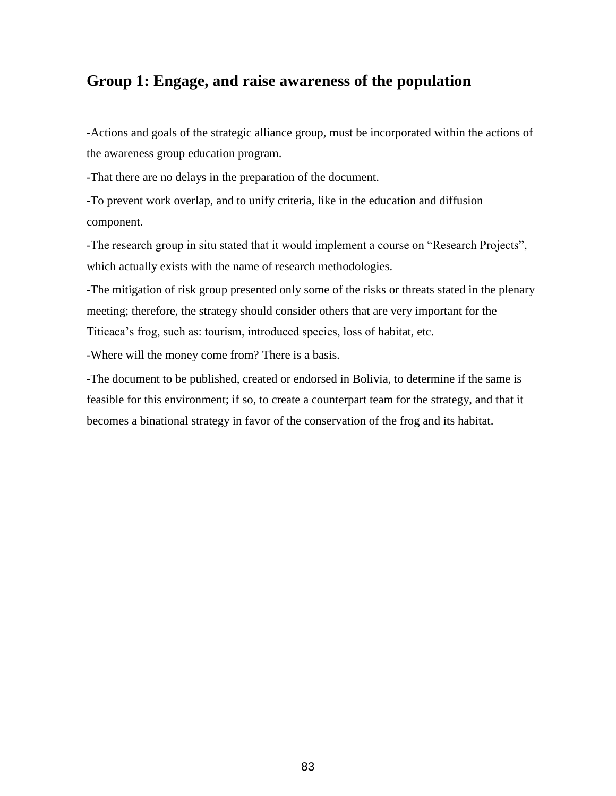# **Group 1: Engage, and raise awareness of the population**

-Actions and goals of the strategic alliance group, must be incorporated within the actions of the awareness group education program.

-That there are no delays in the preparation of the document.

-To prevent work overlap, and to unify criteria, like in the education and diffusion component.

-The research group in situ stated that it would implement a course on "Research Projects", which actually exists with the name of research methodologies.

-The mitigation of risk group presented only some of the risks or threats stated in the plenary meeting; therefore, the strategy should consider others that are very important for the Titicaca's frog, such as: tourism, introduced species, loss of habitat, etc.

-Where will the money come from? There is a basis.

-The document to be published, created or endorsed in Bolivia, to determine if the same is feasible for this environment; if so, to create a counterpart team for the strategy, and that it becomes a binational strategy in favor of the conservation of the frog and its habitat.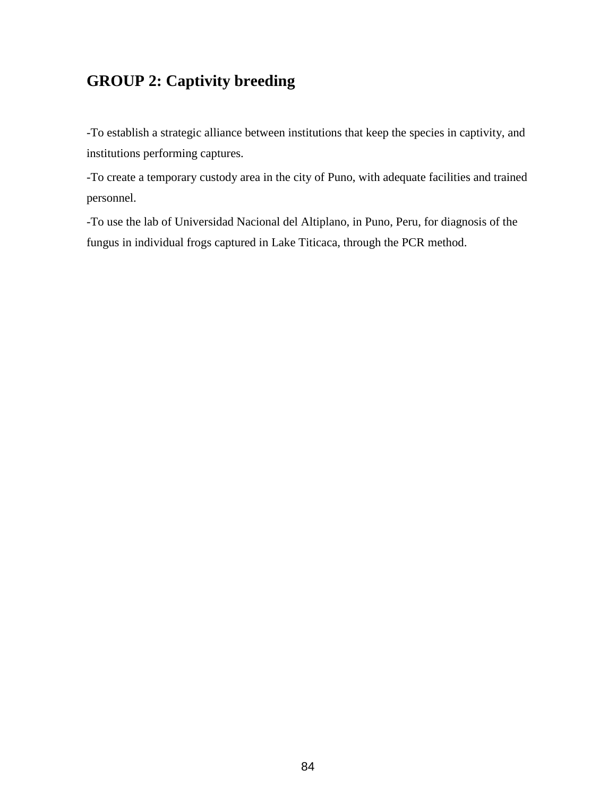# **GROUP 2: Captivity breeding**

-To establish a strategic alliance between institutions that keep the species in captivity, and institutions performing captures.

-To create a temporary custody area in the city of Puno, with adequate facilities and trained personnel.

-To use the lab of Universidad Nacional del Altiplano, in Puno, Peru, for diagnosis of the fungus in individual frogs captured in Lake Titicaca, through the PCR method.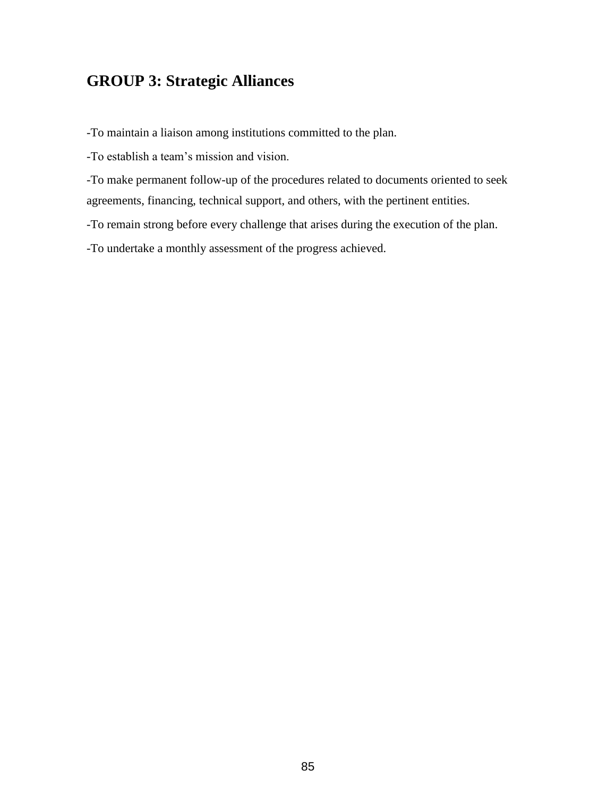# **GROUP 3: Strategic Alliances**

-To maintain a liaison among institutions committed to the plan.

-To establish a team's mission and vision.

-To make permanent follow-up of the procedures related to documents oriented to seek agreements, financing, technical support, and others, with the pertinent entities.

-To remain strong before every challenge that arises during the execution of the plan.

-To undertake a monthly assessment of the progress achieved.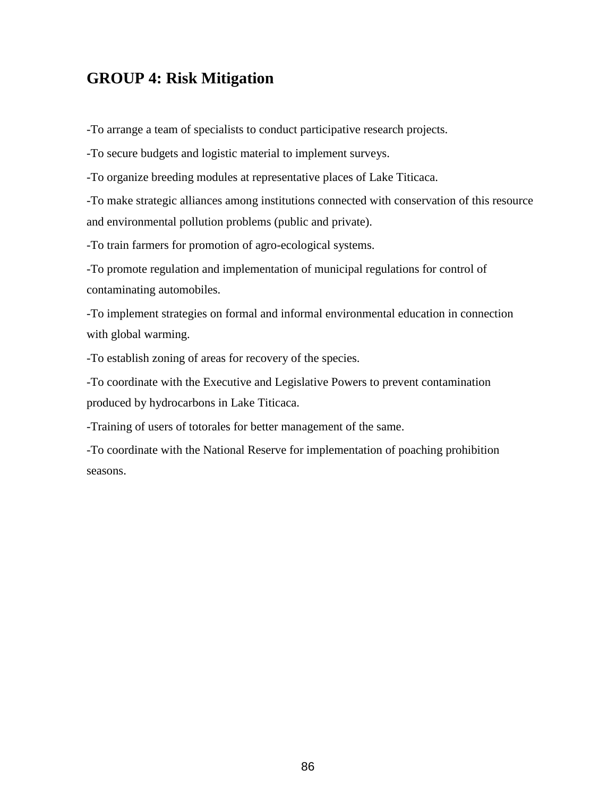# **GROUP 4: Risk Mitigation**

-To arrange a team of specialists to conduct participative research projects.

-To secure budgets and logistic material to implement surveys.

-To organize breeding modules at representative places of Lake Titicaca.

-To make strategic alliances among institutions connected with conservation of this resource and environmental pollution problems (public and private).

-To train farmers for promotion of agro-ecological systems.

-To promote regulation and implementation of municipal regulations for control of contaminating automobiles.

-To implement strategies on formal and informal environmental education in connection with global warming.

-To establish zoning of areas for recovery of the species.

-To coordinate with the Executive and Legislative Powers to prevent contamination produced by hydrocarbons in Lake Titicaca.

-Training of users of totorales for better management of the same.

-To coordinate with the National Reserve for implementation of poaching prohibition seasons.